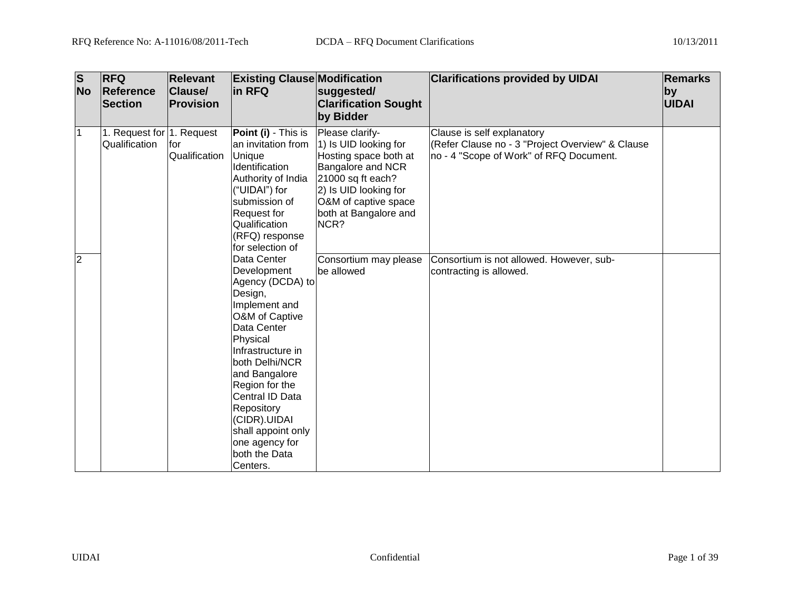| $\overline{\mathsf{s}}$<br><b>No</b> | <b>RFQ</b><br>Reference<br><b>Section</b>  | <b>Relevant</b><br>Clause/<br><b>Provision</b> | <b>Existing Clause Modification</b><br>in RFQ                                                                                                                                                                                                                                             | suggested/<br><b>Clarification Sought</b><br>by Bidder                                                                                                                                                                               | <b>Clarifications provided by UIDAI</b>                                                                                                                                                          | <b>Remarks</b><br>by<br><b>UIDAI</b> |
|--------------------------------------|--------------------------------------------|------------------------------------------------|-------------------------------------------------------------------------------------------------------------------------------------------------------------------------------------------------------------------------------------------------------------------------------------------|--------------------------------------------------------------------------------------------------------------------------------------------------------------------------------------------------------------------------------------|--------------------------------------------------------------------------------------------------------------------------------------------------------------------------------------------------|--------------------------------------|
| l1<br>$\overline{2}$                 | 1. Request for 1. Request<br>Qualification | for<br>Qualification                           | Point (i) - This is<br>an invitation from<br>Unique<br>Identification<br>Authority of India<br>("UIDAI") for<br>submission of<br><b>Request for</b><br>Qualification<br>(RFQ) response<br>for selection of<br>Data Center<br>Development                                                  | Please clarify-<br>1) Is UID looking for<br>Hosting space both at<br>Bangalore and NCR<br>21000 sq ft each?<br>2) Is UID looking for<br>O&M of captive space<br>both at Bangalore and<br>NCR?<br>Consortium may please<br>be allowed | Clause is self explanatory<br>(Refer Clause no - 3 "Project Overview" & Clause<br>no - 4 "Scope of Work" of RFQ Document.<br>Consortium is not allowed. However, sub-<br>contracting is allowed. |                                      |
|                                      |                                            |                                                | Agency (DCDA) to<br>Design,<br>Implement and<br>O&M of Captive<br>Data Center<br>Physical<br>Infrastructure in<br>both Delhi/NCR<br>and Bangalore<br>Region for the<br>Central ID Data<br>Repository<br>(CIDR).UIDAI<br>shall appoint only<br>one agency for<br>both the Data<br>Centers. |                                                                                                                                                                                                                                      |                                                                                                                                                                                                  |                                      |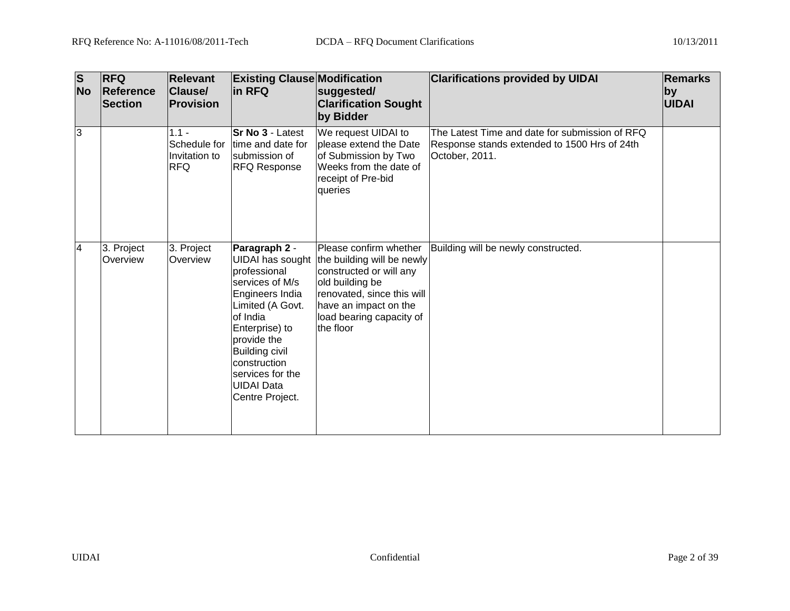| $\overline{\mathbf{s}}$<br><b>No</b> | <b>RFQ</b><br>Reference<br><b>Section</b> | <b>Relevant</b><br>Clause/<br>Provision                | <b>Existing Clause Modification</b><br>in RFQ                                                                                                                                                                                                                        | suggested/<br><b>Clarification Sought</b><br>by Bidder                                                                                                                                             | <b>Clarifications provided by UIDAI</b>                                                                          | <b>Remarks</b><br>by<br>UIDAI |
|--------------------------------------|-------------------------------------------|--------------------------------------------------------|----------------------------------------------------------------------------------------------------------------------------------------------------------------------------------------------------------------------------------------------------------------------|----------------------------------------------------------------------------------------------------------------------------------------------------------------------------------------------------|------------------------------------------------------------------------------------------------------------------|-------------------------------|
| 3                                    |                                           | $1.1 -$<br>Schedule for<br>Invitation to<br><b>RFQ</b> | <b>Sr No 3 - Latest</b><br>time and date for<br>Isubmission of<br><b>RFQ Response</b>                                                                                                                                                                                | We request UIDAI to<br>please extend the Date<br>of Submission by Two<br>Weeks from the date of<br>receipt of Pre-bid<br>queries                                                                   | The Latest Time and date for submission of RFQ<br>Response stands extended to 1500 Hrs of 24th<br>October, 2011. |                               |
| 4                                    | 3. Project<br>Overview                    | 3. Project<br>Overview                                 | Paragraph 2 -<br><b>UIDAI</b> has sought<br>professional<br>services of M/s<br>Engineers India<br>Limited (A Govt.<br>of India<br>Enterprise) to<br>provide the<br><b>Building civil</b><br>construction<br>services for the<br><b>UIDAI</b> Data<br>Centre Project. | Please confirm whether<br>the building will be newly<br>constructed or will any<br>old building be<br>renovated, since this will<br>have an impact on the<br>load bearing capacity of<br>the floor | Building will be newly constructed.                                                                              |                               |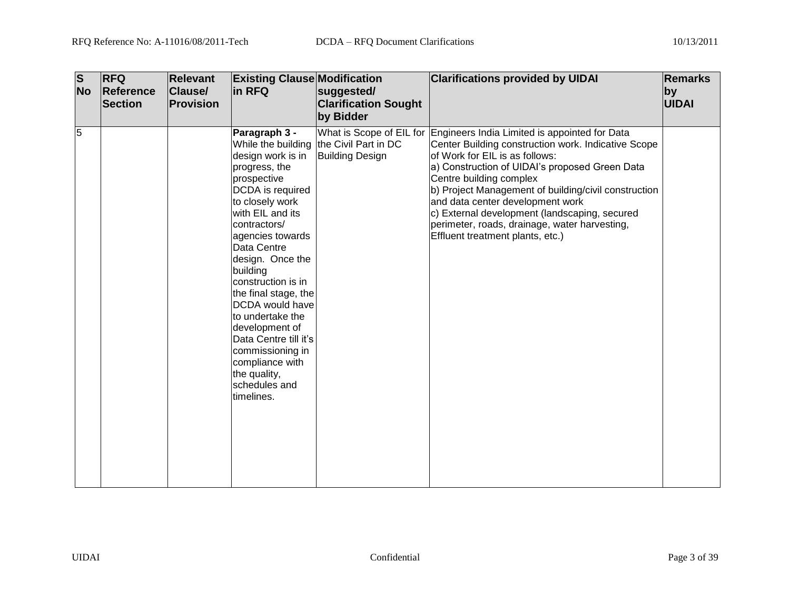| $\overline{\mathsf{s}}$ | <b>No</b> | <b>RFQ</b><br>Reference<br><b>Section</b> | <b>Relevant</b><br><b>Clause/</b><br><b>Provision</b> | <b>Existing Clause Modification</b><br>in RFQ                                                                                                                                                                                                                                                                                                                                                                                                                | suggested/<br><b>Clarification Sought</b><br>by Bidder | <b>Clarifications provided by UIDAI</b>                                                                                                                                                                                                                                                                                                                                                                                                                                        | <b>Remarks</b><br>by<br><b>UIDAI</b> |
|-------------------------|-----------|-------------------------------------------|-------------------------------------------------------|--------------------------------------------------------------------------------------------------------------------------------------------------------------------------------------------------------------------------------------------------------------------------------------------------------------------------------------------------------------------------------------------------------------------------------------------------------------|--------------------------------------------------------|--------------------------------------------------------------------------------------------------------------------------------------------------------------------------------------------------------------------------------------------------------------------------------------------------------------------------------------------------------------------------------------------------------------------------------------------------------------------------------|--------------------------------------|
| 5                       |           |                                           |                                                       | Paragraph 3 -<br>While the building<br>design work is in<br>progress, the<br>prospective<br>DCDA is required<br>to closely work<br>with EIL and its<br>contractors/<br>agencies towards<br>Data Centre<br>design. Once the<br>building<br>construction is in<br>the final stage, the<br>DCDA would have<br>to undertake the<br>development of<br>Data Centre till it's<br>commissioning in<br>compliance with<br>the quality,<br>schedules and<br>timelines. | the Civil Part in DC<br><b>Building Design</b>         | What is Scope of EIL for Engineers India Limited is appointed for Data<br>Center Building construction work. Indicative Scope<br>of Work for EIL is as follows:<br>a) Construction of UIDAI's proposed Green Data<br>Centre building complex<br>b) Project Management of building/civil construction<br>and data center development work<br>c) External development (landscaping, secured<br>perimeter, roads, drainage, water harvesting,<br>Effluent treatment plants, etc.) |                                      |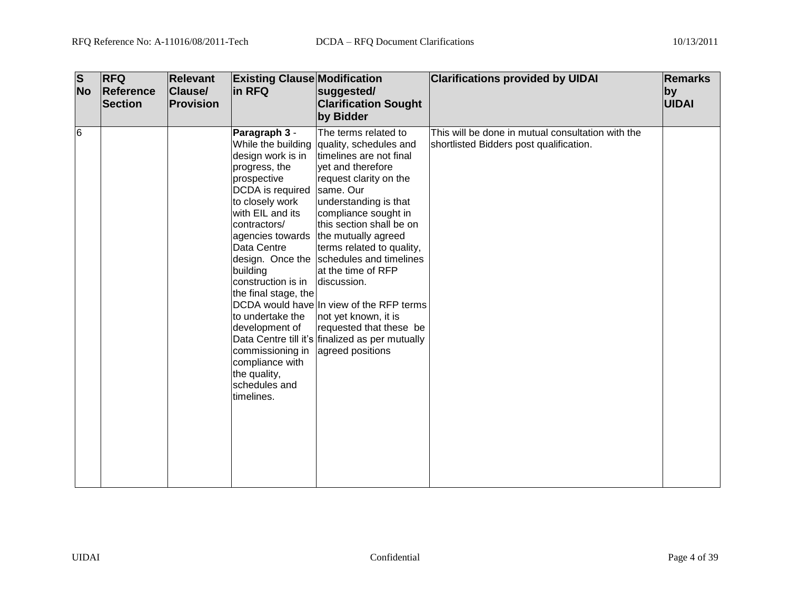| $\overline{\mathsf{s}}$<br><b>No</b> | <b>RFQ</b><br>Reference<br><b>Section</b> | <b>Relevant</b><br><b>Clause/</b><br><b>Provision</b> | <b>Existing Clause Modification</b><br>in RFQ                                                                                                                                                                                                                                                                                                                                                | suggested/<br><b>Clarification Sought</b><br>by Bidder                                                                                                                                                                                                                                                                                                                                                                                                                                                                        | <b>Clarifications provided by UIDAI</b>                                                      | <b>Remarks</b><br>by<br><b>UIDAI</b> |
|--------------------------------------|-------------------------------------------|-------------------------------------------------------|----------------------------------------------------------------------------------------------------------------------------------------------------------------------------------------------------------------------------------------------------------------------------------------------------------------------------------------------------------------------------------------------|-------------------------------------------------------------------------------------------------------------------------------------------------------------------------------------------------------------------------------------------------------------------------------------------------------------------------------------------------------------------------------------------------------------------------------------------------------------------------------------------------------------------------------|----------------------------------------------------------------------------------------------|--------------------------------------|
| 6                                    |                                           |                                                       | Paragraph 3 -<br>While the building<br>design work is in<br>progress, the<br>prospective<br>DCDA is required<br>to closely work<br>with EIL and its<br>contractors/<br>agencies towards<br>Data Centre<br>building<br>construction is in<br>the final stage, the<br>to undertake the<br>development of<br>commissioning in<br>compliance with<br>the quality,<br>schedules and<br>timelines. | The terms related to<br>quality, schedules and<br>timelines are not final<br>yet and therefore<br>request clarity on the<br>same. Our<br>understanding is that<br>compliance sought in<br>this section shall be on<br>the mutually agreed<br>terms related to quality,<br>design. Once the schedules and timelines<br>at the time of RFP<br>discussion.<br>DCDA would have In view of the RFP terms<br>not yet known, it is<br>requested that these be<br>Data Centre till it's finalized as per mutually<br>agreed positions | This will be done in mutual consultation with the<br>shortlisted Bidders post qualification. |                                      |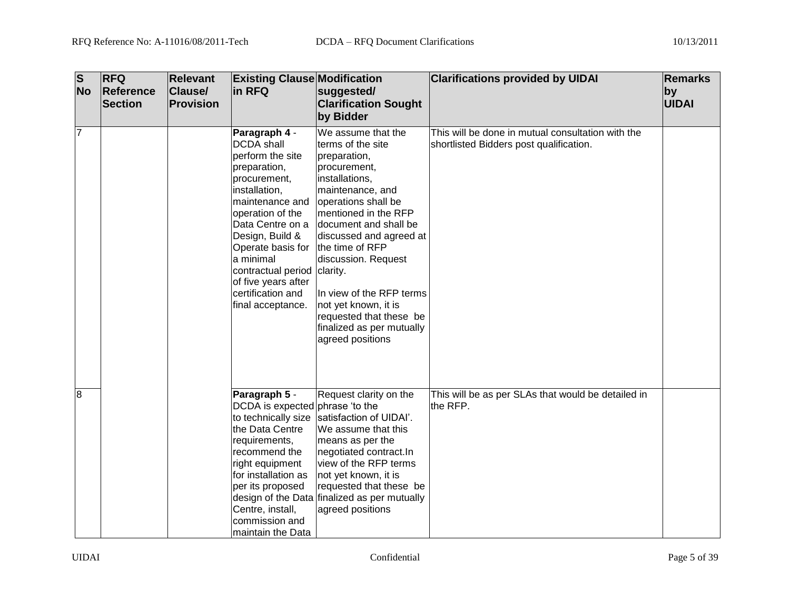| $\overline{\mathbf{s}}$<br><b>No</b> | <b>RFQ</b><br>Reference<br><b>Section</b> | <b>Relevant</b><br>Clause/<br>Provision | <b>Existing Clause Modification</b><br>in RFQ                                                                                                                                                                                                                                                                           | suggested/<br><b>Clarification Sought</b><br>by Bidder                                                                                                                                                                                                                                                                                                                                     | <b>Clarifications provided by UIDAI</b>                                                      | <b>Remarks</b><br>by<br>UIDAI |
|--------------------------------------|-------------------------------------------|-----------------------------------------|-------------------------------------------------------------------------------------------------------------------------------------------------------------------------------------------------------------------------------------------------------------------------------------------------------------------------|--------------------------------------------------------------------------------------------------------------------------------------------------------------------------------------------------------------------------------------------------------------------------------------------------------------------------------------------------------------------------------------------|----------------------------------------------------------------------------------------------|-------------------------------|
| $\overline{7}$                       |                                           |                                         | Paragraph 4 -<br><b>DCDA</b> shall<br>perform the site<br>preparation,<br>procurement,<br>installation,<br>maintenance and<br>operation of the<br>Data Centre on a<br>Design, Build &<br>Operate basis for<br>a minimal<br>contractual period clarity.<br>of five years after<br>certification and<br>final acceptance. | We assume that the<br>terms of the site<br>preparation,<br>procurement,<br>installations,<br>maintenance, and<br>operations shall be<br>mentioned in the RFP<br>document and shall be<br>discussed and agreed at<br>the time of RFP<br>discussion. Request<br>In view of the RFP terms<br>not yet known, it is<br>requested that these be<br>finalized as per mutually<br>agreed positions | This will be done in mutual consultation with the<br>shortlisted Bidders post qualification. |                               |
| 8                                    |                                           |                                         | Paragraph 5 -<br>DCDA is expected phrase 'to the<br>to technically size<br>the Data Centre<br>requirements,<br>recommend the<br>right equipment<br>for installation as<br>per its proposed<br>Centre, install,<br>commission and<br>maintain the Data                                                                   | Request clarity on the<br>satisfaction of UIDAI'.<br>We assume that this<br>means as per the<br>negotiated contract.In<br>view of the RFP terms<br>not yet known, it is<br>requested that these be<br>design of the Data finalized as per mutually<br>agreed positions                                                                                                                     | This will be as per SLAs that would be detailed in<br>the RFP.                               |                               |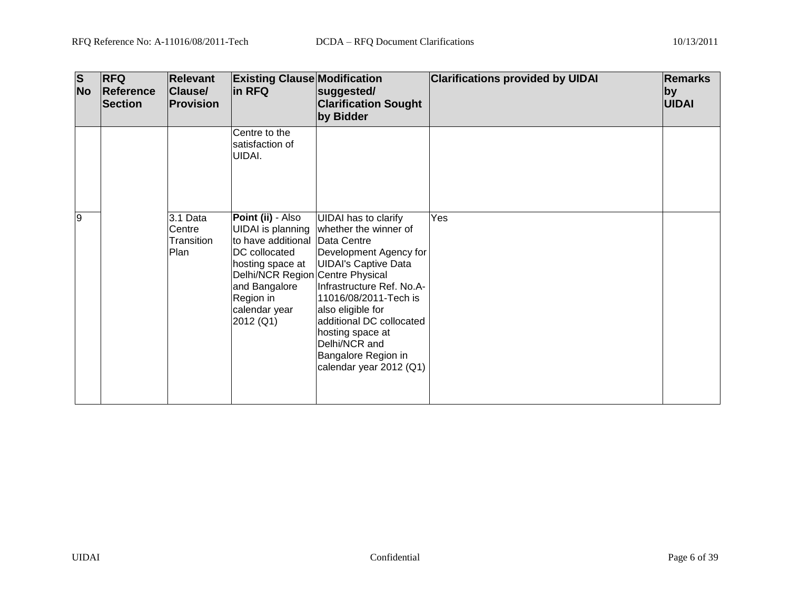| $\overline{\mathbf{s}}$<br><b>No</b> | <b>RFQ</b><br>Reference<br><b>Section</b> | <b>Relevant</b><br><b>Clause/</b><br><b>Provision</b> | <b>Existing Clause Modification</b><br>in RFQ                                                                                                                                                                        | suggested/<br><b>Clarification Sought</b><br>by Bidder                                                                                                                                                                                                                                                      | <b>Clarifications provided by UIDAI</b> | <b>Remarks</b><br>$ $ by<br><b>UIDAI</b> |
|--------------------------------------|-------------------------------------------|-------------------------------------------------------|----------------------------------------------------------------------------------------------------------------------------------------------------------------------------------------------------------------------|-------------------------------------------------------------------------------------------------------------------------------------------------------------------------------------------------------------------------------------------------------------------------------------------------------------|-----------------------------------------|------------------------------------------|
|                                      |                                           |                                                       | Centre to the<br>satisfaction of<br>UIDAI.                                                                                                                                                                           |                                                                                                                                                                                                                                                                                                             |                                         |                                          |
| 9                                    |                                           | 3.1 Data<br>Centre<br>Transition<br>Plan              | <b>Point (ii)</b> - Also<br>UIDAI is planning<br>to have additional Data Centre<br>DC collocated<br>hosting space at<br>Delhi/NCR Region Centre Physical<br>and Bangalore<br>Region in<br>calendar year<br>2012 (Q1) | <b>UIDAI</b> has to clarify<br>whether the winner of<br>Development Agency for<br><b>UIDAI's Captive Data</b><br>Infrastructure Ref. No.A-<br>11016/08/2011-Tech is<br>also eligible for<br>additional DC collocated<br>hosting space at<br>Delhi/NCR and<br>Bangalore Region in<br>calendar year 2012 (Q1) | Yes                                     |                                          |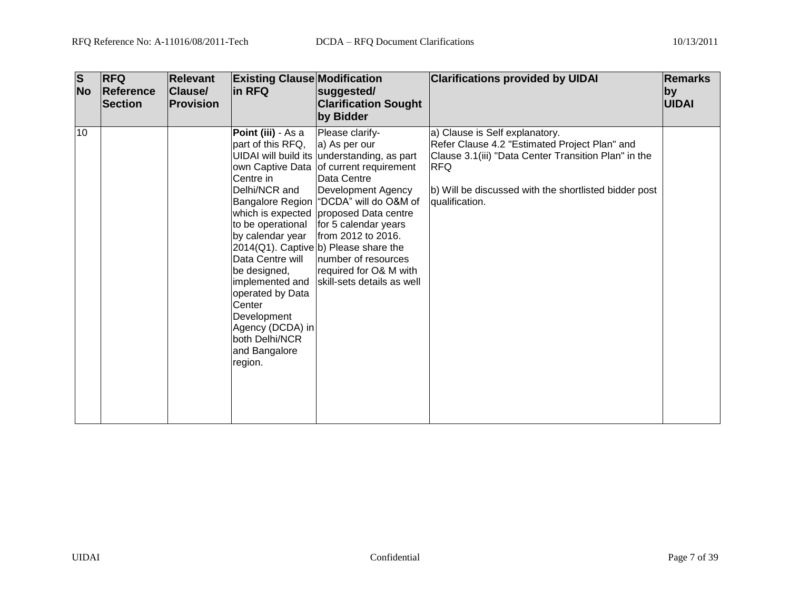| $\overline{\mathbf{s}}$<br><b>No</b> | <b>RFQ</b><br>Reference<br><b>Section</b> | <b>Relevant</b><br>Clause/<br><b>Provision</b> | <b>Existing Clause Modification</b><br>lin RFQ                                                                                                                                                                                                                                       | suggested/<br><b>Clarification Sought</b><br>by Bidder                                                                                                                                                                                                                                                                                                                                                                         | <b>Clarifications provided by UIDAI</b>                                                                                                                                                                                          | <b>Remarks</b><br> by <br><b>UIDAI</b> |
|--------------------------------------|-------------------------------------------|------------------------------------------------|--------------------------------------------------------------------------------------------------------------------------------------------------------------------------------------------------------------------------------------------------------------------------------------|--------------------------------------------------------------------------------------------------------------------------------------------------------------------------------------------------------------------------------------------------------------------------------------------------------------------------------------------------------------------------------------------------------------------------------|----------------------------------------------------------------------------------------------------------------------------------------------------------------------------------------------------------------------------------|----------------------------------------|
| 10                                   |                                           |                                                | Point (iii) - As a<br>part of this RFQ,<br>Centre in<br>Delhi/NCR and<br>to be operational<br>by calendar year<br>Data Centre will<br>be designed,<br>implemented and<br>operated by Data<br>Center<br>Development<br>Agency (DCDA) in<br>both Delhi/NCR<br>and Bangalore<br>region. | Please clarify-<br>a) As per our<br>UIDAI will build its understanding, as part<br>own Captive Data of current requirement<br>Data Centre<br>Development Agency<br>Bangalore Region   "DCDA" will do O&M of<br>which is expected proposed Data centre<br>for 5 calendar years<br>from 2012 to 2016.<br>$2014(Q1)$ . Captive b) Please share the<br>number of resources<br>required for O& M with<br>skill-sets details as well | a) Clause is Self explanatory.<br>Refer Clause 4.2 "Estimated Project Plan" and<br>Clause 3.1(iii) "Data Center Transition Plan" in the<br><b>RFQ</b><br>b) Will be discussed with the shortlisted bidder post<br>qualification. |                                        |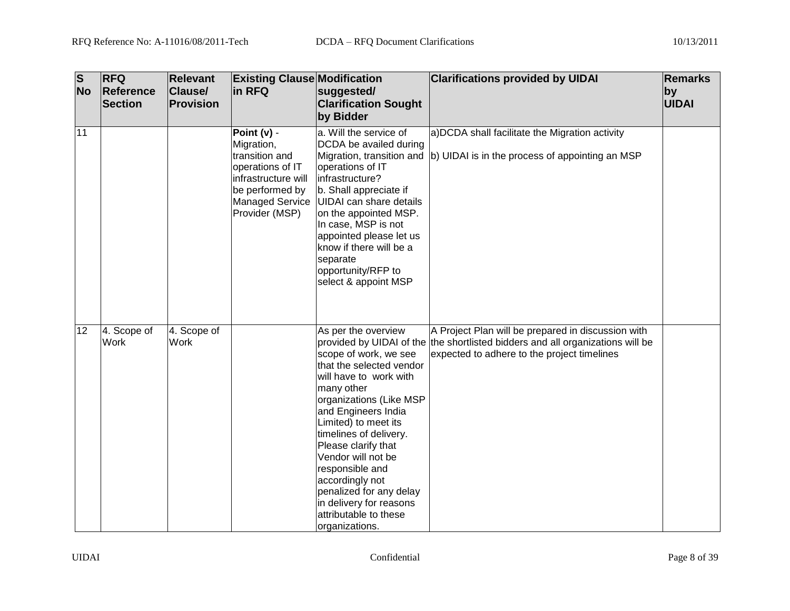| $\overline{\mathbf{s}}$<br><b>No</b> | <b>RFQ</b><br>Reference<br><b>Section</b> | <b>Relevant</b><br><b>Clause/</b><br>Provision | <b>Existing Clause Modification</b><br>in RFQ                                                                                                  | suggested/<br><b>Clarification Sought</b><br>by Bidder                                                                                                                                                                                                                                                                                                                                                   | <b>Clarifications provided by UIDAI</b>                                                                                                                                             | <b>Remarks</b><br>by<br><b>UIDAI</b> |
|--------------------------------------|-------------------------------------------|------------------------------------------------|------------------------------------------------------------------------------------------------------------------------------------------------|----------------------------------------------------------------------------------------------------------------------------------------------------------------------------------------------------------------------------------------------------------------------------------------------------------------------------------------------------------------------------------------------------------|-------------------------------------------------------------------------------------------------------------------------------------------------------------------------------------|--------------------------------------|
| 11                                   |                                           |                                                | Point (v) -<br>Migration,<br>transition and<br>operations of IT<br>infrastructure will<br>be performed by<br>Managed Service<br>Provider (MSP) | a. Will the service of<br>DCDA be availed during<br>operations of IT<br>infrastructure?<br>b. Shall appreciate if<br><b>UIDAI</b> can share details<br>on the appointed MSP.<br>In case, MSP is not<br>appointed please let us<br>know if there will be a<br>separate<br>opportunity/RFP to<br>select & appoint MSP                                                                                      | a)DCDA shall facilitate the Migration activity<br>Migration, transition and (b) UIDAI is in the process of appointing an MSP                                                        |                                      |
| 12                                   | 4. Scope of<br><b>Work</b>                | 4. Scope of<br><b>Work</b>                     |                                                                                                                                                | As per the overview<br>scope of work, we see<br>that the selected vendor<br>will have to work with<br>many other<br>organizations (Like MSP<br>and Engineers India<br>Limited) to meet its<br>timelines of delivery.<br>Please clarify that<br>Vendor will not be<br>responsible and<br>accordingly not<br>penalized for any delay<br>in delivery for reasons<br>attributable to these<br>organizations. | A Project Plan will be prepared in discussion with<br>provided by UIDAI of the the shortlisted bidders and all organizations will be<br>expected to adhere to the project timelines |                                      |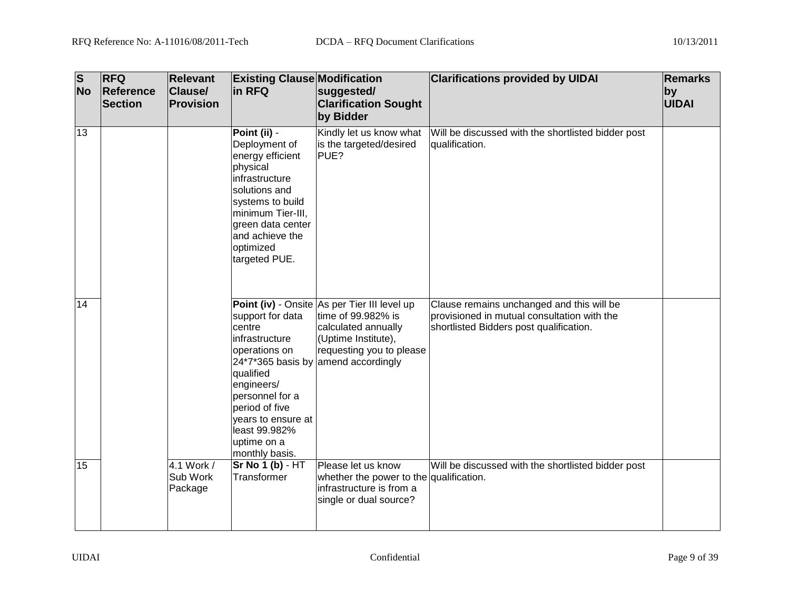| $\overline{\mathbf{s}}$<br><b>No</b> | <b>RFQ</b><br>Reference<br><b>Section</b> | <b>Relevant</b><br><b>Clause/</b><br>Provision | <b>Existing Clause Modification</b><br>in RFQ                                                                                                                                                                   | suggested/<br><b>Clarification Sought</b><br>by Bidder                                                                                                                              | <b>Clarifications provided by UIDAI</b>                                                                                             | <b>Remarks</b><br>by<br>UIDAI |
|--------------------------------------|-------------------------------------------|------------------------------------------------|-----------------------------------------------------------------------------------------------------------------------------------------------------------------------------------------------------------------|-------------------------------------------------------------------------------------------------------------------------------------------------------------------------------------|-------------------------------------------------------------------------------------------------------------------------------------|-------------------------------|
| 13                                   |                                           |                                                | Point (ii) -<br>Deployment of<br>energy efficient<br>physical<br>infrastructure<br>solutions and<br>systems to build<br>minimum Tier-III,<br>green data center<br>and achieve the<br>optimized<br>targeted PUE. | Kindly let us know what<br>is the targeted/desired<br>PUE?                                                                                                                          | Will be discussed with the shortlisted bidder post<br>qualification.                                                                |                               |
| 14                                   |                                           |                                                | support for data<br>centre<br>infrastructure<br>operations on<br>qualified<br>engineers/<br>personnel for a<br>period of five<br>years to ensure at<br>least 99.982%<br>uptime on a<br>monthly basis.           | Point (iv) - Onsite As per Tier III level up<br>time of 99.982% is<br>calculated annually<br>(Uptime Institute),<br>requesting you to please<br>24*7*365 basis by amend accordingly | Clause remains unchanged and this will be<br>provisioned in mutual consultation with the<br>shortlisted Bidders post qualification. |                               |
| 15                                   |                                           | 4.1 Work /<br>Sub Work<br>Package              | $Sr$ No 1 (b) $-$ HT<br>Transformer                                                                                                                                                                             | Please let us know<br>whether the power to the qualification.<br>infrastructure is from a<br>single or dual source?                                                                 | Will be discussed with the shortlisted bidder post                                                                                  |                               |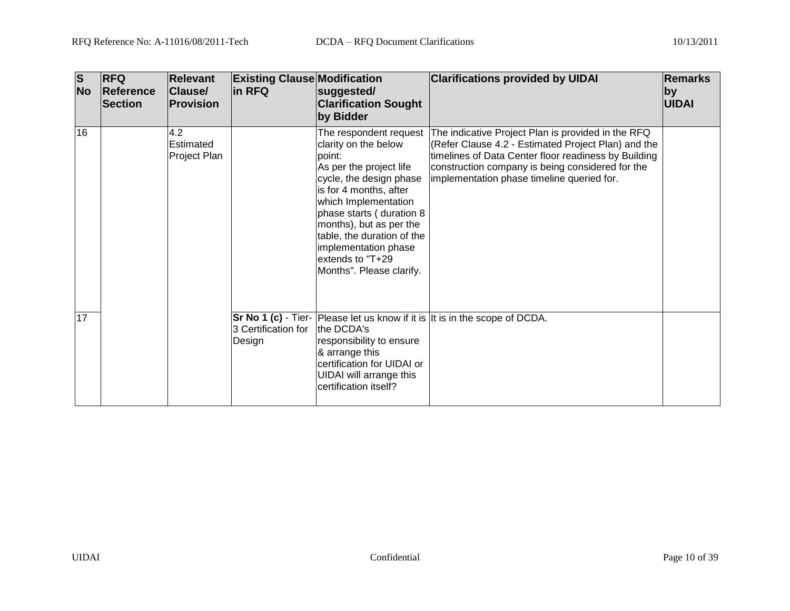| $\overline{\mathbf{s}}$<br><b>No</b> | <b>RFQ</b><br>Reference<br>Section | <b>Relevant</b><br><b>Clause/</b><br><b>Provision</b> | <b>Existing Clause Modification</b><br>in RFQ | suggested/<br><b>Clarification Sought</b><br>by Bidder                                                                                                                                                                                                                                              | <b>Clarifications provided by UIDAI</b>                                                                                                                                                                                                                                                    | <b>Remarks</b><br> by <br><b>UIDAI</b> |
|--------------------------------------|------------------------------------|-------------------------------------------------------|-----------------------------------------------|-----------------------------------------------------------------------------------------------------------------------------------------------------------------------------------------------------------------------------------------------------------------------------------------------------|--------------------------------------------------------------------------------------------------------------------------------------------------------------------------------------------------------------------------------------------------------------------------------------------|----------------------------------------|
| 16                                   |                                    | 4.2<br>Estimated<br>Project Plan                      |                                               | clarity on the below<br>point:<br>As per the project life<br>cycle, the design phase<br>is for 4 months, after<br>which Implementation<br>phase starts (duration 8<br>months), but as per the<br>table, the duration of the<br>implementation phase<br>extends to "T+29<br>Months". Please clarify. | The respondent request The indicative Project Plan is provided in the RFQ<br>(Refer Clause 4.2 - Estimated Project Plan) and the<br>timelines of Data Center floor readiness by Building<br>construction company is being considered for the<br>implementation phase timeline queried for. |                                        |
| 17                                   |                                    |                                                       | 3 Certification for<br>Design                 | the DCDA's<br>responsibility to ensure<br>& arrange this<br>certification for UIDAI or<br>UIDAI will arrange this<br>certification itself?                                                                                                                                                          | <b>Sr No 1 (c)</b> - Tier- Please let us know if it is It is in the scope of DCDA.                                                                                                                                                                                                         |                                        |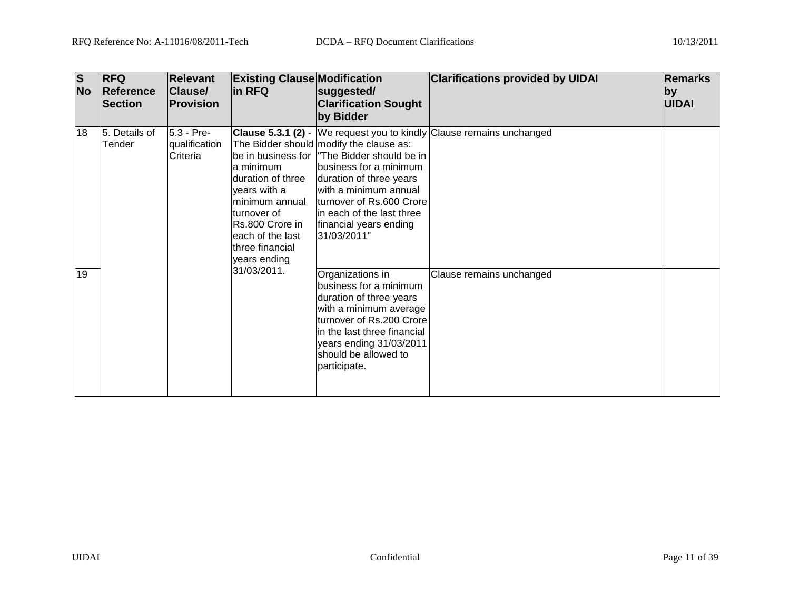| <b>S</b><br><b>No</b> | <b>RFQ</b><br><b>Reference</b><br><b>Section</b> | <b>Relevant</b><br>Clause/<br><b>Provision</b> | <b>Existing Clause Modification</b><br>in RFQ                                                                                                                                          | suggested/<br><b>Clarification Sought</b><br>by Bidder                                                                                                                                                                                               | <b>Clarifications provided by UIDAI</b>                              | Remarks<br>$ $ by<br><b>UIDAI</b> |
|-----------------------|--------------------------------------------------|------------------------------------------------|----------------------------------------------------------------------------------------------------------------------------------------------------------------------------------------|------------------------------------------------------------------------------------------------------------------------------------------------------------------------------------------------------------------------------------------------------|----------------------------------------------------------------------|-----------------------------------|
| 18                    | 5. Details of<br>Tender                          | 5.3 - Pre-<br>qualification<br>Criteria        | lbe in business for I<br>la minimum<br>Iduration of three<br>years with a<br>lminimum annual<br>turnover of<br>Rs.800 Crore in<br>leach of the last<br>three financial<br>years ending | The Bidder should modify the clause as:<br>"The Bidder should be in<br>business for a minimum<br>duration of three years<br>with a minimum annual<br>turnover of Rs.600 Crore<br>lin each of the last three<br>financial years ending<br>31/03/2011" | Clause 5.3.1 (2) - We request you to kindly Clause remains unchanged |                                   |
| 19                    |                                                  |                                                | 31/03/2011.                                                                                                                                                                            | Organizations in<br>business for a minimum<br>duration of three years<br>with a minimum average<br>turnover of Rs.200 Crore<br>in the last three financial<br>years ending 31/03/2011<br>should be allowed to<br>participate.                        | Clause remains unchanged                                             |                                   |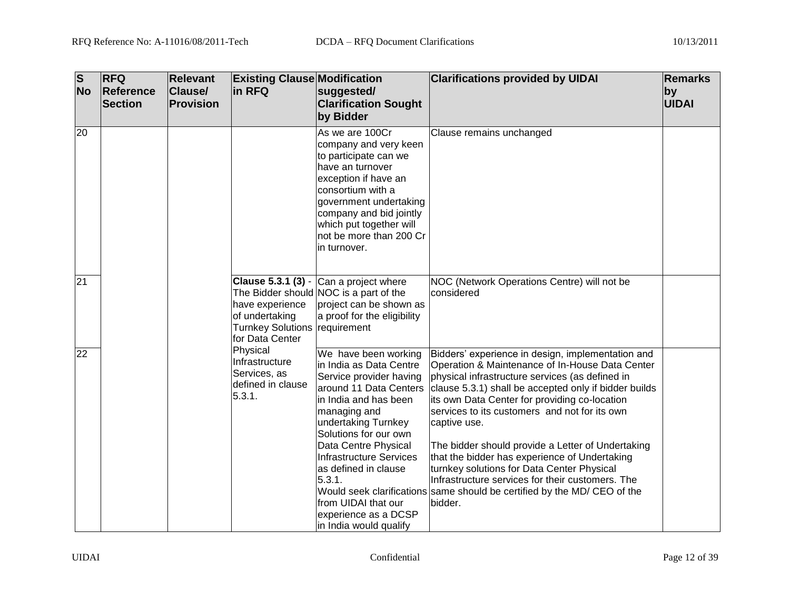| $\overline{\mathbf{s}}$<br><b>No</b> | <b>RFQ</b><br><b>Reference</b><br>Section | <b>Relevant</b><br><b>Clause/</b><br>Provision | <b>Existing Clause Modification</b><br>in RFQ                                         | suggested/<br><b>Clarification Sought</b><br>by Bidder                                                                                                                                                                                                                                                                                                          | <b>Clarifications provided by UIDAI</b>                                                                                                                                                                                                                                                                                                                                                                                                                                                                                                                                                                                           | <b>Remarks</b><br>by<br><b>UIDAI</b> |
|--------------------------------------|-------------------------------------------|------------------------------------------------|---------------------------------------------------------------------------------------|-----------------------------------------------------------------------------------------------------------------------------------------------------------------------------------------------------------------------------------------------------------------------------------------------------------------------------------------------------------------|-----------------------------------------------------------------------------------------------------------------------------------------------------------------------------------------------------------------------------------------------------------------------------------------------------------------------------------------------------------------------------------------------------------------------------------------------------------------------------------------------------------------------------------------------------------------------------------------------------------------------------------|--------------------------------------|
| 20                                   |                                           |                                                |                                                                                       | As we are 100Cr<br>company and very keen<br>to participate can we<br>have an turnover<br>exception if have an<br>consortium with a<br>government undertaking<br>company and bid jointly<br>which put together will<br>not be more than 200 Cr<br>lin turnover.                                                                                                  | Clause remains unchanged                                                                                                                                                                                                                                                                                                                                                                                                                                                                                                                                                                                                          |                                      |
| 21                                   |                                           |                                                | have experience<br>of undertaking<br>Turnkey Solutions requirement<br>for Data Center | <b>Clause 5.3.1 (3)</b> - $\vert$ Can a project where<br>The Bidder should NOC is a part of the<br>project can be shown as<br>a proof for the eligibility                                                                                                                                                                                                       | NOC (Network Operations Centre) will not be<br>considered                                                                                                                                                                                                                                                                                                                                                                                                                                                                                                                                                                         |                                      |
| $\overline{22}$                      |                                           |                                                | Physical<br>Infrastructure<br>Services, as<br>defined in clause<br>5.3.1.             | We have been working<br>lin India as Data Centre<br>Service provider having<br>laround 11 Data Centers<br>lin India and has been<br>managing and<br>undertaking Turnkey<br>Solutions for our own<br>Data Centre Physical<br>Infrastructure Services<br>las defined in clause<br>5.3.1.<br>from UIDAI that our<br>experience as a DCSP<br>in India would qualify | Bidders' experience in design, implementation and<br>Operation & Maintenance of In-House Data Center<br>physical infrastructure services (as defined in<br>clause 5.3.1) shall be accepted only if bidder builds<br>its own Data Center for providing co-location<br>services to its customers and not for its own<br>captive use.<br>The bidder should provide a Letter of Undertaking<br>that the bidder has experience of Undertaking<br>turnkey solutions for Data Center Physical<br>Infrastructure services for their customers. The<br>Would seek clarifications same should be certified by the MD/ CEO of the<br>bidder. |                                      |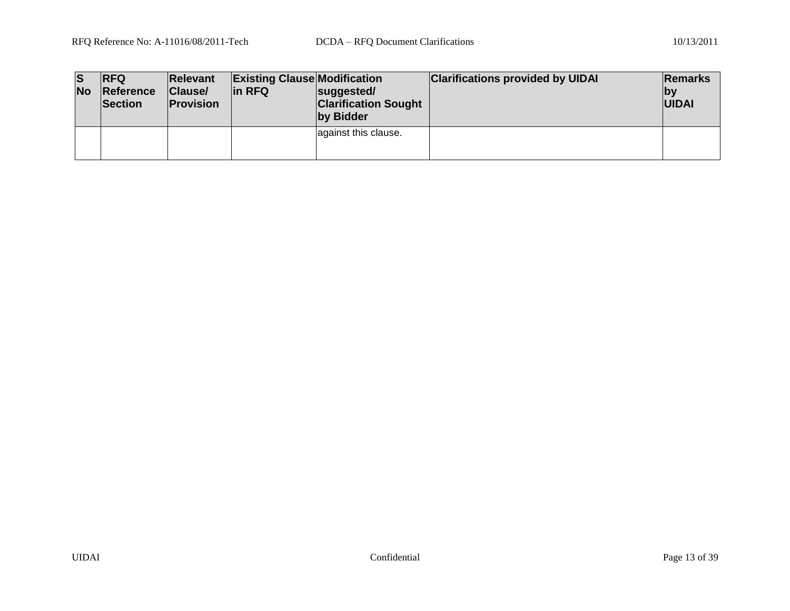| lS<br><b>No</b> | <b>IRFQ</b><br>Reference<br><b>Section</b> | <b>Relevant</b><br>Clause/<br><b>Provision</b> | <b>Existing Clause Modification</b><br>lin RFQ | suggested/<br><b>Clarification Sought</b><br>by Bidder | <b>Clarifications provided by UIDAI</b> | Remarks<br> by<br><b>UIDAI</b> |
|-----------------|--------------------------------------------|------------------------------------------------|------------------------------------------------|--------------------------------------------------------|-----------------------------------------|--------------------------------|
|                 |                                            |                                                |                                                | against this clause.                                   |                                         |                                |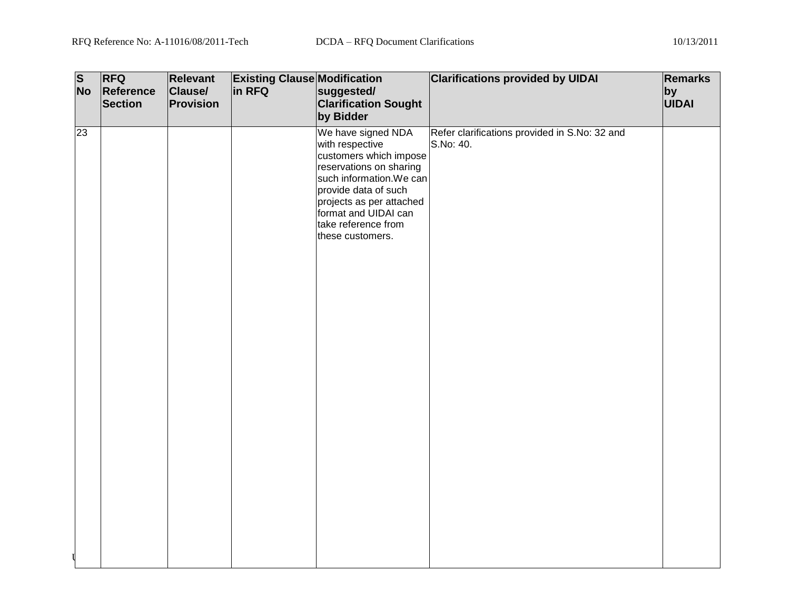| $\overline{\mathbf{s}}$ | <b>RFQ</b> | Relevant  | <b>Existing Clause Modification</b> |                             | <b>Clarifications provided by UIDAI</b>       | <b>Remarks</b> |
|-------------------------|------------|-----------|-------------------------------------|-----------------------------|-----------------------------------------------|----------------|
| <b>No</b>               | Reference  | Clause/   | in RFQ                              | suggested/                  |                                               | $ $ by         |
|                         | Section    | Provision |                                     | <b>Clarification Sought</b> |                                               | <b>UIDAI</b>   |
|                         |            |           |                                     | by Bidder                   |                                               |                |
|                         |            |           |                                     |                             |                                               |                |
| $\overline{23}$         |            |           |                                     | We have signed NDA          | Refer clarifications provided in S.No: 32 and |                |
|                         |            |           |                                     | with respective             | S.No: 40.                                     |                |
|                         |            |           |                                     | customers which impose      |                                               |                |
|                         |            |           |                                     | reservations on sharing     |                                               |                |
|                         |            |           |                                     | such information. We can    |                                               |                |
|                         |            |           |                                     | provide data of such        |                                               |                |
|                         |            |           |                                     | projects as per attached    |                                               |                |
|                         |            |           |                                     | format and UIDAI can        |                                               |                |
|                         |            |           |                                     | take reference from         |                                               |                |
|                         |            |           |                                     | these customers.            |                                               |                |
|                         |            |           |                                     |                             |                                               |                |
|                         |            |           |                                     |                             |                                               |                |
|                         |            |           |                                     |                             |                                               |                |
|                         |            |           |                                     |                             |                                               |                |
|                         |            |           |                                     |                             |                                               |                |
|                         |            |           |                                     |                             |                                               |                |
|                         |            |           |                                     |                             |                                               |                |
|                         |            |           |                                     |                             |                                               |                |
|                         |            |           |                                     |                             |                                               |                |
|                         |            |           |                                     |                             |                                               |                |
|                         |            |           |                                     |                             |                                               |                |
|                         |            |           |                                     |                             |                                               |                |
|                         |            |           |                                     |                             |                                               |                |
|                         |            |           |                                     |                             |                                               |                |
|                         |            |           |                                     |                             |                                               |                |
|                         |            |           |                                     |                             |                                               |                |
|                         |            |           |                                     |                             |                                               |                |
|                         |            |           |                                     |                             |                                               |                |
|                         |            |           |                                     |                             |                                               |                |
|                         |            |           |                                     |                             |                                               |                |
|                         |            |           |                                     |                             |                                               |                |
|                         |            |           |                                     |                             |                                               |                |
|                         |            |           |                                     |                             |                                               |                |
|                         |            |           |                                     |                             |                                               |                |
|                         |            |           |                                     |                             |                                               |                |
|                         |            |           |                                     |                             |                                               |                |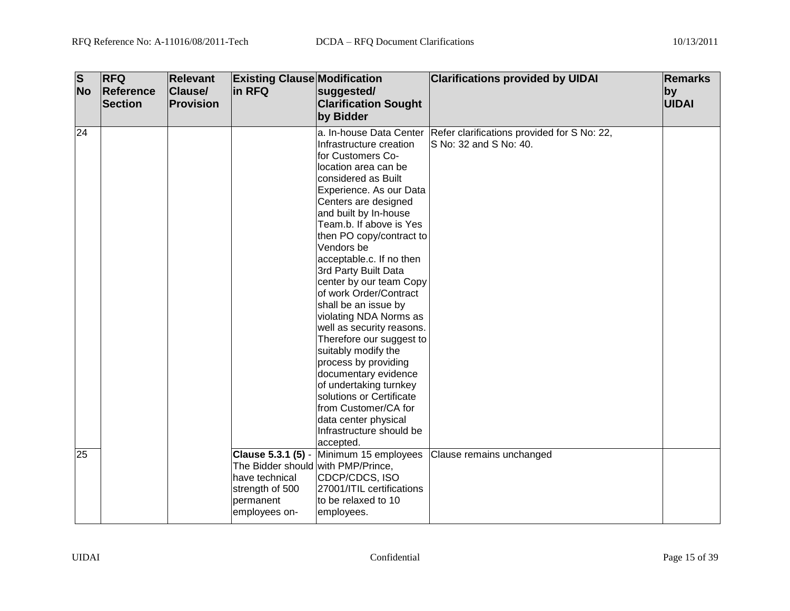| $\overline{\mathbf{s}}$<br><b>No</b> | <b>RFQ</b><br>Reference<br><b>Section</b> | <b>Relevant</b><br><b>Clause/</b><br>Provision | <b>Existing Clause Modification</b><br>in RFQ                                                          | suggested/<br><b>Clarification Sought</b>                                                                                                                                                                                                                                                                                                                                                                                                                                                                                                                                                                                                                                 | <b>Clarifications provided by UIDAI</b>                                                       | Remarks<br> by<br><b>UIDAI</b> |
|--------------------------------------|-------------------------------------------|------------------------------------------------|--------------------------------------------------------------------------------------------------------|---------------------------------------------------------------------------------------------------------------------------------------------------------------------------------------------------------------------------------------------------------------------------------------------------------------------------------------------------------------------------------------------------------------------------------------------------------------------------------------------------------------------------------------------------------------------------------------------------------------------------------------------------------------------------|-----------------------------------------------------------------------------------------------|--------------------------------|
|                                      |                                           |                                                |                                                                                                        | by Bidder                                                                                                                                                                                                                                                                                                                                                                                                                                                                                                                                                                                                                                                                 |                                                                                               |                                |
| 24                                   |                                           |                                                |                                                                                                        | Infrastructure creation<br>for Customers Co-<br>location area can be<br>considered as Built<br>Experience. As our Data<br>Centers are designed<br>and built by In-house<br>Team.b. If above is Yes<br>then PO copy/contract to<br>Vendors be<br>acceptable.c. If no then<br>3rd Party Built Data<br>center by our team Copy<br>of work Order/Contract<br>shall be an issue by<br>violating NDA Norms as<br>well as security reasons.<br>Therefore our suggest to<br>suitably modify the<br>process by providing<br>documentary evidence<br>of undertaking turnkey<br>solutions or Certificate<br>from Customer/CA for<br>data center physical<br>Infrastructure should be | a. In-house Data Center Refer clarifications provided for S No: 22,<br>S No: 32 and S No: 40. |                                |
| $\overline{25}$                      |                                           |                                                | The Bidder should with PMP/Prince,<br>lhave technical<br>strength of 500<br>permanent<br>employees on- | accepted.<br>Clause 5.3.1 (5) - Minimum 15 employees<br>CDCP/CDCS, ISO<br>27001/ITIL certifications<br>to be relaxed to 10<br>employees.                                                                                                                                                                                                                                                                                                                                                                                                                                                                                                                                  | Clause remains unchanged                                                                      |                                |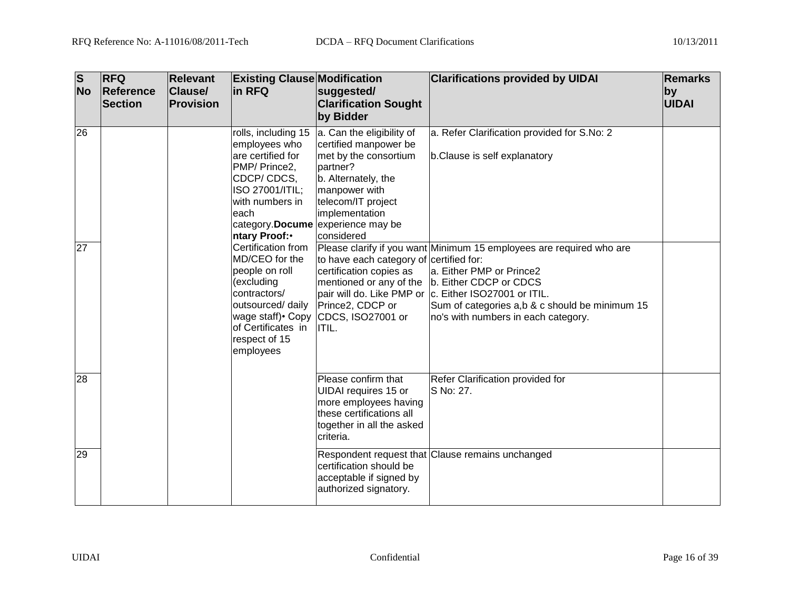| <b>S</b><br><b>No</b> | <b>RFQ</b><br>Reference<br>Section | <b>Relevant</b><br><b>Clause/</b><br>Provision | <b>Existing Clause Modification</b><br>in RFQ                                                                                                           | suggested/<br><b>Clarification Sought</b><br>by Bidder                                                                                                                                                                      | <b>Clarifications provided by UIDAI</b>                                                                                                                                                                                                                                                               | <b>Remarks</b><br>by<br>UIDAI |
|-----------------------|------------------------------------|------------------------------------------------|---------------------------------------------------------------------------------------------------------------------------------------------------------|-----------------------------------------------------------------------------------------------------------------------------------------------------------------------------------------------------------------------------|-------------------------------------------------------------------------------------------------------------------------------------------------------------------------------------------------------------------------------------------------------------------------------------------------------|-------------------------------|
| 26                    |                                    |                                                | rolls, including 15<br>employees who<br>are certified for<br>PMP/ Prince2,<br>CDCP/CDCS,<br>ISO 27001/ITIL;<br>with numbers in<br>each<br>ntary Proof:• | a. Can the eligibility of<br>certified manpower be<br>met by the consortium<br>partner?<br>b. Alternately, the<br>manpower with<br>telecom/IT project<br>implementation<br>category. Docume experience may be<br>considered | a. Refer Clarification provided for S.No: 2<br>b.Clause is self explanatory                                                                                                                                                                                                                           |                               |
| 27                    |                                    |                                                | Certification from<br>MD/CEO for the<br>people on roll<br>(excluding<br>contractors/<br>of Certificates in<br>respect of 15<br>employees                | to have each category of certified for:<br>certification copies as<br>outsourced/ daily   Prince2, CDCP or<br>wage staff) Copy CDCS, ISO27001 or<br>ITIL.                                                                   | Please clarify if you want Minimum 15 employees are required who are<br>a. Either PMP or Prince2<br>mentioned or any of the  b. Either CDCP or CDCS<br>pair will do. Like PMP or C. Either ISO27001 or ITIL.<br>Sum of categories a,b & c should be minimum 15<br>no's with numbers in each category. |                               |
| 28                    |                                    |                                                |                                                                                                                                                         | Please confirm that<br><b>UIDAI</b> requires 15 or<br>more employees having<br>these certifications all<br>together in all the asked<br>criteria.                                                                           | Refer Clarification provided for<br>IS No: 27.                                                                                                                                                                                                                                                        |                               |
| 29                    |                                    |                                                |                                                                                                                                                         | certification should be<br>acceptable if signed by<br>authorized signatory.                                                                                                                                                 | Respondent request that Clause remains unchanged                                                                                                                                                                                                                                                      |                               |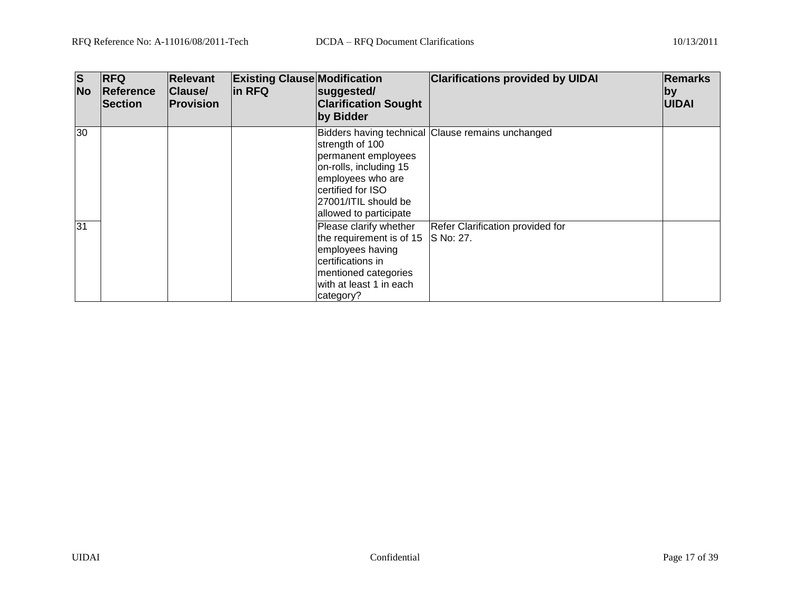| <b>S</b><br><b>No</b> | <b>RFQ</b><br><b>Reference</b><br>Section | <b>Relevant</b><br><b>Clause/</b><br>Provision | <b>Existing Clause Modification</b><br>in RFQ | suggested/<br><b>Clarification Sought</b><br>by Bidder                                                                                                                  | <b>Clarifications provided by UIDAI</b>           | <b>Remarks</b><br>$ $ by<br><b>UIDAI</b> |
|-----------------------|-------------------------------------------|------------------------------------------------|-----------------------------------------------|-------------------------------------------------------------------------------------------------------------------------------------------------------------------------|---------------------------------------------------|------------------------------------------|
| 30                    |                                           |                                                |                                               | strength of 100<br>permanent employees<br>on-rolls, including 15<br>employees who are<br>certified for ISO<br>27001/ITIL should be<br>allowed to participate            | Bidders having technical Clause remains unchanged |                                          |
| 31                    |                                           |                                                |                                               | Please clarify whether<br>the requirement is of $15$ S No: 27.<br>employees having<br>certifications in<br>mentioned categories<br>with at least 1 in each<br>category? | Refer Clarification provided for                  |                                          |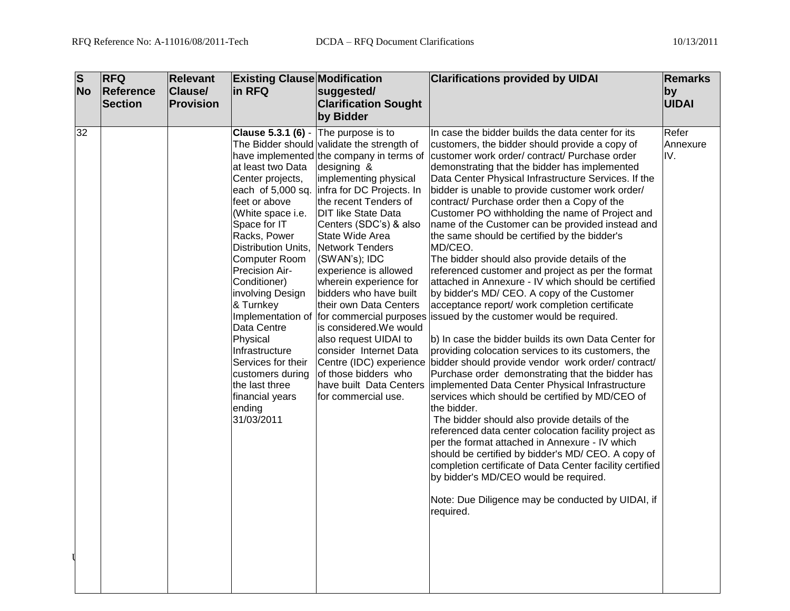| $\overline{\mathbf{s}}$ |           | <b>RFQ</b>     | <b>Relevant</b> | <b>Existing Clause Modification</b>                                                                                                                                                                                                                                                                                                                                                                                                                                 |                                                                                                                                                                                                                                                                                                                                                                                                                                                                                                                                                                                               | <b>Clarifications provided by UIDAI</b>                                                                                                                                                                                                                                                                                                                                                                                                                                                                                                                                                                                                                                                                                                                                                                                                                                                                                                                                                                                                                                                                                                                                                                                                                                                                                                                                                                                                                                                                                                                                                                     | Remarks                  |
|-------------------------|-----------|----------------|-----------------|---------------------------------------------------------------------------------------------------------------------------------------------------------------------------------------------------------------------------------------------------------------------------------------------------------------------------------------------------------------------------------------------------------------------------------------------------------------------|-----------------------------------------------------------------------------------------------------------------------------------------------------------------------------------------------------------------------------------------------------------------------------------------------------------------------------------------------------------------------------------------------------------------------------------------------------------------------------------------------------------------------------------------------------------------------------------------------|-------------------------------------------------------------------------------------------------------------------------------------------------------------------------------------------------------------------------------------------------------------------------------------------------------------------------------------------------------------------------------------------------------------------------------------------------------------------------------------------------------------------------------------------------------------------------------------------------------------------------------------------------------------------------------------------------------------------------------------------------------------------------------------------------------------------------------------------------------------------------------------------------------------------------------------------------------------------------------------------------------------------------------------------------------------------------------------------------------------------------------------------------------------------------------------------------------------------------------------------------------------------------------------------------------------------------------------------------------------------------------------------------------------------------------------------------------------------------------------------------------------------------------------------------------------------------------------------------------------|--------------------------|
|                         | <b>No</b> | Reference      | Clause/         | in RFQ                                                                                                                                                                                                                                                                                                                                                                                                                                                              | suggested/                                                                                                                                                                                                                                                                                                                                                                                                                                                                                                                                                                                    |                                                                                                                                                                                                                                                                                                                                                                                                                                                                                                                                                                                                                                                                                                                                                                                                                                                                                                                                                                                                                                                                                                                                                                                                                                                                                                                                                                                                                                                                                                                                                                                                             | $ $ by                   |
|                         |           | <b>Section</b> | Provision       |                                                                                                                                                                                                                                                                                                                                                                                                                                                                     | <b>Clarification Sought</b>                                                                                                                                                                                                                                                                                                                                                                                                                                                                                                                                                                   |                                                                                                                                                                                                                                                                                                                                                                                                                                                                                                                                                                                                                                                                                                                                                                                                                                                                                                                                                                                                                                                                                                                                                                                                                                                                                                                                                                                                                                                                                                                                                                                                             | <b>UIDAI</b>             |
|                         |           |                |                 |                                                                                                                                                                                                                                                                                                                                                                                                                                                                     | by Bidder                                                                                                                                                                                                                                                                                                                                                                                                                                                                                                                                                                                     |                                                                                                                                                                                                                                                                                                                                                                                                                                                                                                                                                                                                                                                                                                                                                                                                                                                                                                                                                                                                                                                                                                                                                                                                                                                                                                                                                                                                                                                                                                                                                                                                             |                          |
|                         | 32        |                |                 | <b>Clause 5.3.1 (6)</b> - The purpose is to<br>at least two Data<br>Center projects,<br>each of 5,000 sq.<br>feet or above<br>(White space i.e.<br>Space for IT<br>Racks, Power<br>Distribution Units,<br>Computer Room<br>Precision Air-<br>Conditioner)<br>involving Design<br>& Turnkey<br>Implementation of<br>Data Centre<br>Physical<br>Infrastructure<br>Services for their<br>customers during<br>the last three<br>financial years<br>ending<br>31/03/2011 | The Bidder should validate the strength of<br>have implemented the company in terms of<br>designing &<br>implementing physical<br>infra for DC Projects. In<br>the recent Tenders of<br><b>DIT like State Data</b><br>Centers (SDC's) & also<br>State Wide Area<br>Network Tenders<br>(SWAN's); IDC<br>experience is allowed<br>wherein experience for<br>bidders who have built<br>their own Data Centers<br>for commercial purposes<br>is considered. We would<br>also request UIDAI to<br>consider Internet Data<br>of those bidders who<br>have built Data Centers<br>for commercial use. | In case the bidder builds the data center for its<br>customers, the bidder should provide a copy of<br>customer work order/contract/ Purchase order<br>demonstrating that the bidder has implemented<br>Data Center Physical Infrastructure Services. If the<br>bidder is unable to provide customer work order/<br>contract/ Purchase order then a Copy of the<br>Customer PO withholding the name of Project and<br>name of the Customer can be provided instead and<br>the same should be certified by the bidder's<br>MD/CEO.<br>The bidder should also provide details of the<br>referenced customer and project as per the format<br>attached in Annexure - IV which should be certified<br>by bidder's MD/ CEO. A copy of the Customer<br>acceptance report/ work completion certificate<br>issued by the customer would be required.<br>b) In case the bidder builds its own Data Center for<br>providing colocation services to its customers, the<br>Centre (IDC) experience bidder should provide vendor work order/contract/<br>Purchase order demonstrating that the bidder has<br>implemented Data Center Physical Infrastructure<br>services which should be certified by MD/CEO of<br>lthe bidder.<br>The bidder should also provide details of the<br>referenced data center colocation facility project as<br>per the format attached in Annexure - IV which<br>should be certified by bidder's MD/ CEO. A copy of<br>completion certificate of Data Center facility certified<br>by bidder's MD/CEO would be required.<br>Note: Due Diligence may be conducted by UIDAI, if<br>required. | Refer<br>Annexure<br>IV. |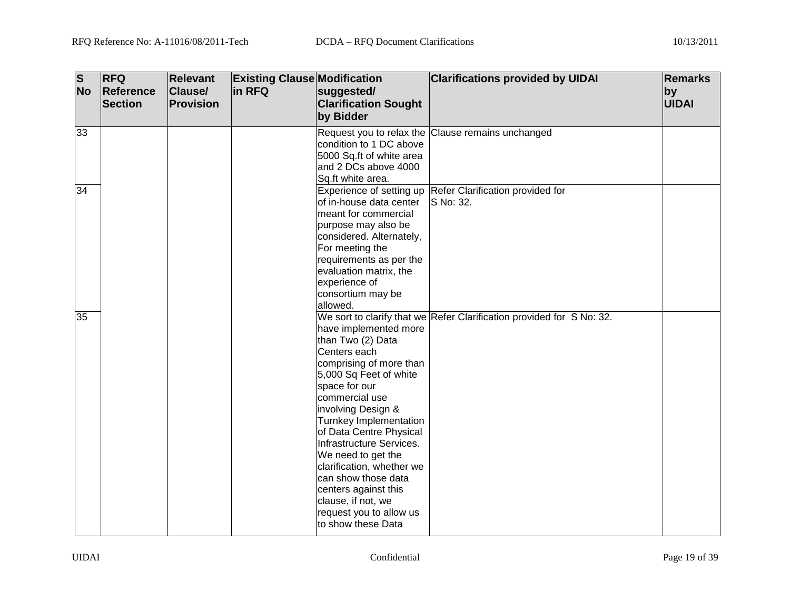| $\overline{\mathbf{s}}$<br><b>No</b> | <b>RFQ</b><br>Reference<br><b>Section</b> | <b>Relevant</b><br><b>Clause/</b><br><b>Provision</b> | <b>Existing Clause Modification</b><br>in RFQ | suggested/<br><b>Clarification Sought</b><br>by Bidder                                                                                                                                                                                                                                                                                                                                                                             | <b>Clarifications provided by UIDAI</b>                                 | <b>Remarks</b><br>by<br><b>UIDAI</b> |
|--------------------------------------|-------------------------------------------|-------------------------------------------------------|-----------------------------------------------|------------------------------------------------------------------------------------------------------------------------------------------------------------------------------------------------------------------------------------------------------------------------------------------------------------------------------------------------------------------------------------------------------------------------------------|-------------------------------------------------------------------------|--------------------------------------|
| 33                                   |                                           |                                                       |                                               | condition to 1 DC above<br>5000 Sq.ft of white area<br>and 2 DCs above 4000<br>Sq.ft white area.                                                                                                                                                                                                                                                                                                                                   | Request you to relax the Clause remains unchanged                       |                                      |
| 34                                   |                                           |                                                       |                                               | of in-house data center<br>meant for commercial<br>purpose may also be<br>considered. Alternately,<br>For meeting the<br>requirements as per the<br>evaluation matrix, the<br>experience of<br>consortium may be<br>allowed.                                                                                                                                                                                                       | Experience of setting up Refer Clarification provided for<br>S No: 32.  |                                      |
| 35                                   |                                           |                                                       |                                               | have implemented more<br>than Two (2) Data<br>Centers each<br>comprising of more than<br>5,000 Sq Feet of white<br>space for our<br>commercial use<br>involving Design &<br>Turnkey Implementation<br>of Data Centre Physical<br>Infrastructure Services.<br>We need to get the<br>clarification, whether we<br>can show those data<br>centers against this<br>clause, if not, we<br>request you to allow us<br>to show these Data | We sort to clarify that we Refer Clarification provided for $S$ No: 32. |                                      |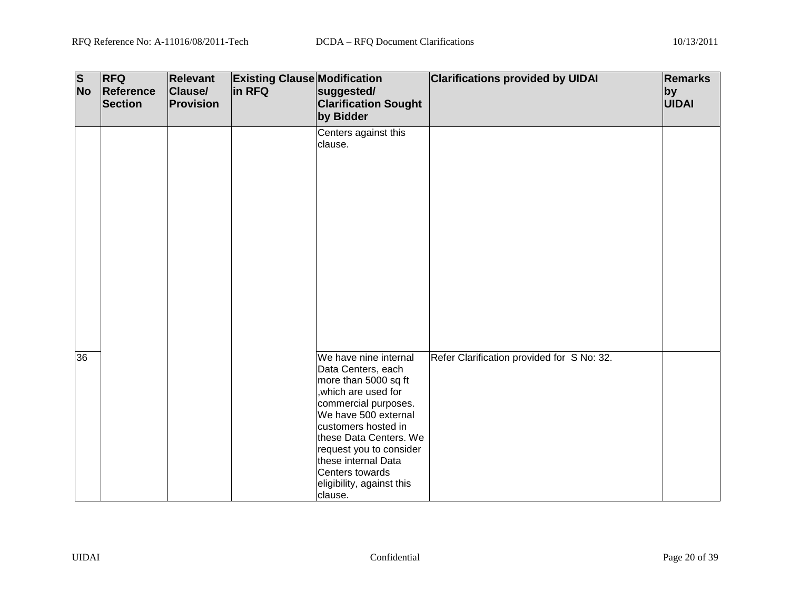| $\overline{\mathbf{s}}$<br><b>No</b> | <b>RFQ</b><br>Reference<br><b>Section</b> | <b>Relevant</b><br>Clause/<br>Provision | <b>Existing Clause Modification</b><br>in RFQ | suggested/<br><b>Clarification Sought</b><br>by Bidder                                                                                                                                                                                                                                                    | <b>Clarifications provided by UIDAI</b>    | <b>Remarks</b><br>by<br><b>UIDAI</b> |
|--------------------------------------|-------------------------------------------|-----------------------------------------|-----------------------------------------------|-----------------------------------------------------------------------------------------------------------------------------------------------------------------------------------------------------------------------------------------------------------------------------------------------------------|--------------------------------------------|--------------------------------------|
|                                      |                                           |                                         |                                               | Centers against this<br>clause.                                                                                                                                                                                                                                                                           |                                            |                                      |
| 36                                   |                                           |                                         |                                               | We have nine internal<br>Data Centers, each<br>more than 5000 sq ft<br>, which are used for<br>commercial purposes.<br>We have 500 external<br>customers hosted in<br>these Data Centers. We<br>request you to consider<br>these internal Data<br>Centers towards<br>eligibility, against this<br>clause. | Refer Clarification provided for S No: 32. |                                      |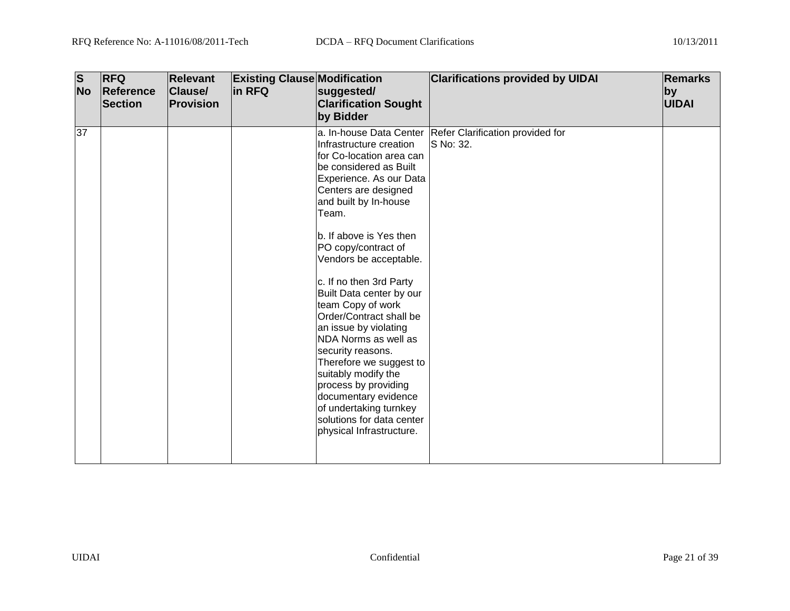| $\overline{\mathbf{s}}$<br><b>No</b> | <b>RFQ</b><br>Reference<br><b>Section</b> | <b>Relevant</b><br><b>Clause/</b><br><b>Provision</b> | <b>Existing Clause Modification</b><br>in RFQ | suggested/<br><b>Clarification Sought</b><br>by Bidder                                                                                                                                                                                                                                                                                                                                                                                                                                                                                                                                                           | <b>Clarifications provided by UIDAI</b>                               | <b>Remarks</b><br>by<br><b>UIDAI</b> |
|--------------------------------------|-------------------------------------------|-------------------------------------------------------|-----------------------------------------------|------------------------------------------------------------------------------------------------------------------------------------------------------------------------------------------------------------------------------------------------------------------------------------------------------------------------------------------------------------------------------------------------------------------------------------------------------------------------------------------------------------------------------------------------------------------------------------------------------------------|-----------------------------------------------------------------------|--------------------------------------|
| 37                                   |                                           |                                                       |                                               | Infrastructure creation<br>for Co-location area can<br>be considered as Built<br>Experience. As our Data<br>Centers are designed<br>and built by In-house<br>Team.<br>b. If above is Yes then<br>PO copy/contract of<br>Vendors be acceptable.<br>c. If no then 3rd Party<br>Built Data center by our<br>team Copy of work<br>Order/Contract shall be<br>an issue by violating<br>NDA Norms as well as<br>security reasons.<br>Therefore we suggest to<br>suitably modify the<br>process by providing<br>documentary evidence<br>of undertaking turnkey<br>solutions for data center<br>physical Infrastructure. | a. In-house Data Center Refer Clarification provided for<br>S No: 32. |                                      |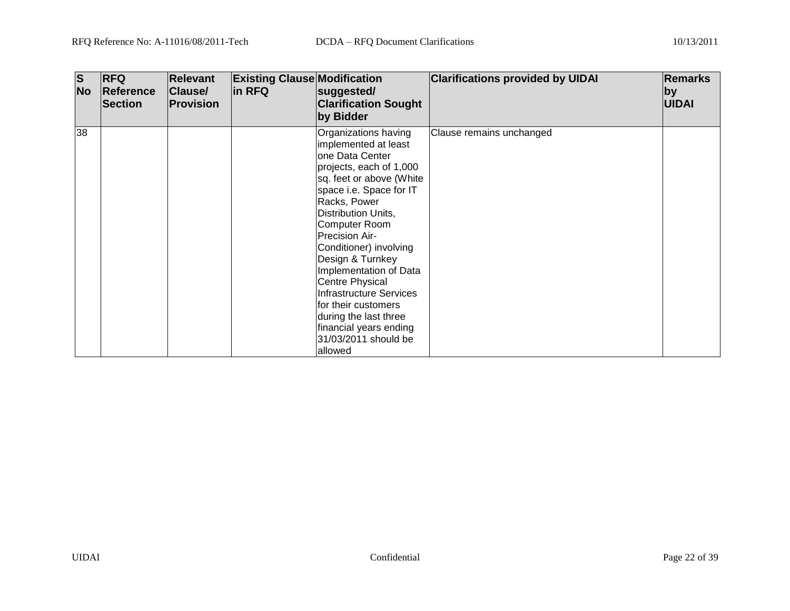| $\vert$ S<br><b>No</b> | <b>RFQ</b><br>Reference<br>Section | <b>Relevant</b><br>Clause/<br><b>Provision</b> | <b>Existing Clause Modification</b><br>in RFQ | suggested/<br><b>Clarification Sought</b><br>by Bidder                                                                                                                                                                                                                                                                                                                                                                                                                               | <b>Clarifications provided by UIDAI</b> | <b>Remarks</b><br>$ $ by<br><b>UIDAI</b> |
|------------------------|------------------------------------|------------------------------------------------|-----------------------------------------------|--------------------------------------------------------------------------------------------------------------------------------------------------------------------------------------------------------------------------------------------------------------------------------------------------------------------------------------------------------------------------------------------------------------------------------------------------------------------------------------|-----------------------------------------|------------------------------------------|
| 38                     |                                    |                                                |                                               | Organizations having<br>implemented at least<br>one Data Center<br>projects, each of 1,000<br>sq. feet or above (White<br>space i.e. Space for IT<br>Racks, Power<br>Distribution Units,<br><b>Computer Room</b><br><b>Precision Air-</b><br>Conditioner) involving<br>Design & Turnkey<br>Implementation of Data<br><b>Centre Physical</b><br>Infrastructure Services<br>lfor their customers<br>during the last three<br>financial years ending<br>31/03/2011 should be<br>allowed | Clause remains unchanged                |                                          |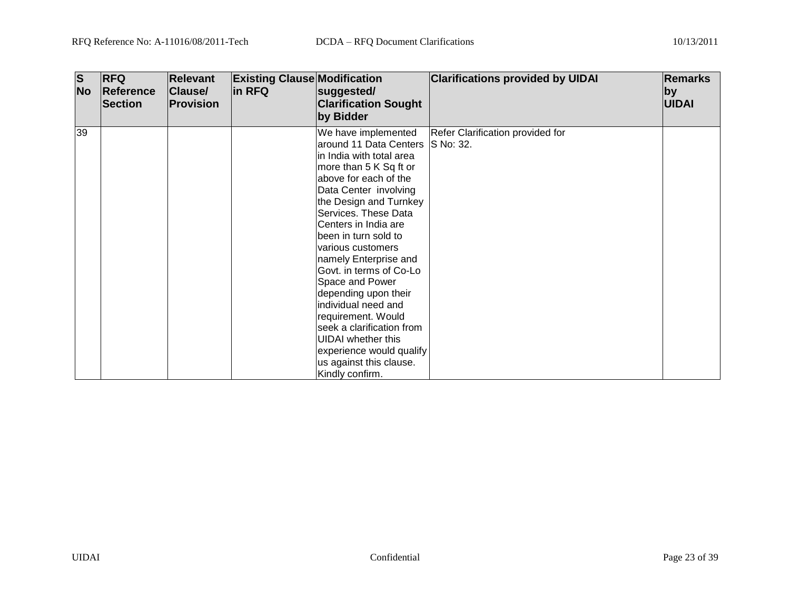| <b>S</b><br><b>No</b> | <b>RFQ</b><br><b>Reference</b><br><b>Section</b> | <b>Relevant</b><br>Clause/<br><b>Provision</b> | <b>Existing Clause Modification</b><br>in RFQ | suggested/<br><b>Clarification Sought</b><br>by Bidder                                                                                                                                                                                                                                                                                                                                                                                                                                                                                                          | <b>Clarifications provided by UIDAI</b> | <b>Remarks</b><br>by<br><b>UIDAI</b> |
|-----------------------|--------------------------------------------------|------------------------------------------------|-----------------------------------------------|-----------------------------------------------------------------------------------------------------------------------------------------------------------------------------------------------------------------------------------------------------------------------------------------------------------------------------------------------------------------------------------------------------------------------------------------------------------------------------------------------------------------------------------------------------------------|-----------------------------------------|--------------------------------------|
| 39                    |                                                  |                                                |                                               | We have implemented<br>around 11 Data Centers S No: 32.<br>in India with total area<br>more than 5 K Sq ft or<br>above for each of the<br>Data Center involving<br>the Design and Turnkey<br>Services. These Data<br>Centers in India are<br>been in turn sold to<br>various customers<br>namely Enterprise and<br>Govt. in terms of Co-Lo<br>Space and Power<br>depending upon their<br>individual need and<br>requirement. Would<br>seek a clarification from<br>UIDAI whether this<br>experience would qualify<br>us against this clause.<br>Kindly confirm. | Refer Clarification provided for        |                                      |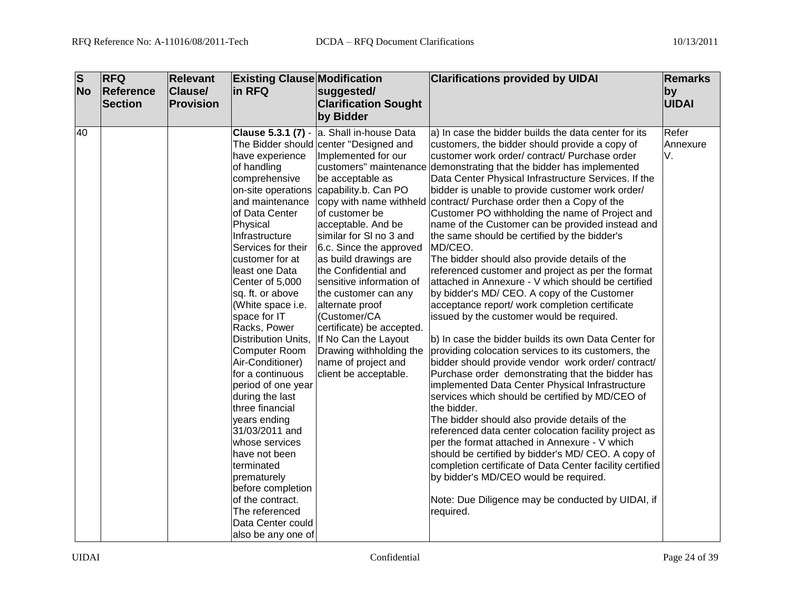| $\overline{\mathbf{s}}$ | <b>RFQ</b>       | <b>Relevant</b> | <b>Existing Clause Modification</b>                                                                                                                                                                                                                                                                                                                                                                                                                                                                                                                                                                                          |                                                                                                                                                                                                                                                                                                                                                                                                                                                                                                                                                  | <b>Clarifications provided by UIDAI</b>                                                                                                                                                                                                                                                                                                                                                                                                                                                                                                                                                                                                                                                                                                                                                                                                                                                                                                                                                                                                                                                                                                                                                                                                                                                                                                                                                                                                                                                                                                                                                                                             | <b>Remarks</b>          |
|-------------------------|------------------|-----------------|------------------------------------------------------------------------------------------------------------------------------------------------------------------------------------------------------------------------------------------------------------------------------------------------------------------------------------------------------------------------------------------------------------------------------------------------------------------------------------------------------------------------------------------------------------------------------------------------------------------------------|--------------------------------------------------------------------------------------------------------------------------------------------------------------------------------------------------------------------------------------------------------------------------------------------------------------------------------------------------------------------------------------------------------------------------------------------------------------------------------------------------------------------------------------------------|-------------------------------------------------------------------------------------------------------------------------------------------------------------------------------------------------------------------------------------------------------------------------------------------------------------------------------------------------------------------------------------------------------------------------------------------------------------------------------------------------------------------------------------------------------------------------------------------------------------------------------------------------------------------------------------------------------------------------------------------------------------------------------------------------------------------------------------------------------------------------------------------------------------------------------------------------------------------------------------------------------------------------------------------------------------------------------------------------------------------------------------------------------------------------------------------------------------------------------------------------------------------------------------------------------------------------------------------------------------------------------------------------------------------------------------------------------------------------------------------------------------------------------------------------------------------------------------------------------------------------------------|-------------------------|
| <b>No</b>               | <b>Reference</b> | Clause/         | in RFQ                                                                                                                                                                                                                                                                                                                                                                                                                                                                                                                                                                                                                       | suggested/                                                                                                                                                                                                                                                                                                                                                                                                                                                                                                                                       |                                                                                                                                                                                                                                                                                                                                                                                                                                                                                                                                                                                                                                                                                                                                                                                                                                                                                                                                                                                                                                                                                                                                                                                                                                                                                                                                                                                                                                                                                                                                                                                                                                     | by                      |
|                         | <b>Section</b>   | Provision       |                                                                                                                                                                                                                                                                                                                                                                                                                                                                                                                                                                                                                              | <b>Clarification Sought</b>                                                                                                                                                                                                                                                                                                                                                                                                                                                                                                                      |                                                                                                                                                                                                                                                                                                                                                                                                                                                                                                                                                                                                                                                                                                                                                                                                                                                                                                                                                                                                                                                                                                                                                                                                                                                                                                                                                                                                                                                                                                                                                                                                                                     | <b>UIDAI</b>            |
|                         |                  |                 |                                                                                                                                                                                                                                                                                                                                                                                                                                                                                                                                                                                                                              | by Bidder                                                                                                                                                                                                                                                                                                                                                                                                                                                                                                                                        |                                                                                                                                                                                                                                                                                                                                                                                                                                                                                                                                                                                                                                                                                                                                                                                                                                                                                                                                                                                                                                                                                                                                                                                                                                                                                                                                                                                                                                                                                                                                                                                                                                     |                         |
| 40                      |                  |                 | have experience<br>of handling<br>comprehensive<br>on-site operations<br>and maintenance<br>of Data Center<br>Physical<br>Infrastructure<br>Services for their<br>customer for at<br>least one Data<br>Center of 5,000<br>sq. ft. or above<br>(White space i.e.<br>space for IT<br>Racks, Power<br>Computer Room<br>Air-Conditioner)<br>for a continuous<br>period of one year<br>during the last<br>three financial<br>years ending<br>31/03/2011 and<br>whose services<br>have not been<br>terminated<br>prematurely<br>before completion<br>of the contract.<br>The referenced<br>Data Center could<br>also be any one of | Clause 5.3.1 (7) - a. Shall in-house Data<br>The Bidder should center "Designed and<br>Implemented for our<br>be acceptable as<br>capability.b. Can PO<br>of customer be<br>acceptable. And be<br>similar for SI no 3 and<br>6.c. Since the approved<br>as build drawings are<br>the Confidential and<br>sensitive information of<br>the customer can any<br>alternate proof<br>(Customer/CA<br>certificate) be accepted.<br>Distribution Units, If No Can the Layout<br>Drawing withholding the<br>name of project and<br>client be acceptable. | a) In case the bidder builds the data center for its<br>customers, the bidder should provide a copy of<br>customer work order/ contract/ Purchase order<br>customers" maintenance demonstrating that the bidder has implemented<br>Data Center Physical Infrastructure Services. If the<br>bidder is unable to provide customer work order/<br>copy with name withheld contract/ Purchase order then a Copy of the<br>Customer PO withholding the name of Project and<br>name of the Customer can be provided instead and<br>the same should be certified by the bidder's<br>MD/CEO.<br>The bidder should also provide details of the<br>referenced customer and project as per the format<br>attached in Annexure - V which should be certified<br>by bidder's MD/ CEO. A copy of the Customer<br>acceptance report/ work completion certificate<br>issued by the customer would be required.<br>b) In case the bidder builds its own Data Center for<br>providing colocation services to its customers, the<br>bidder should provide vendor work order/contract/<br>Purchase order demonstrating that the bidder has<br>implemented Data Center Physical Infrastructure<br>services which should be certified by MD/CEO of<br>the bidder.<br>The bidder should also provide details of the<br>referenced data center colocation facility project as<br>per the format attached in Annexure - V which<br>should be certified by bidder's MD/ CEO. A copy of<br>completion certificate of Data Center facility certified<br>by bidder's MD/CEO would be required.<br>Note: Due Diligence may be conducted by UIDAI, if<br>required. | Refer<br>Annexure<br>V. |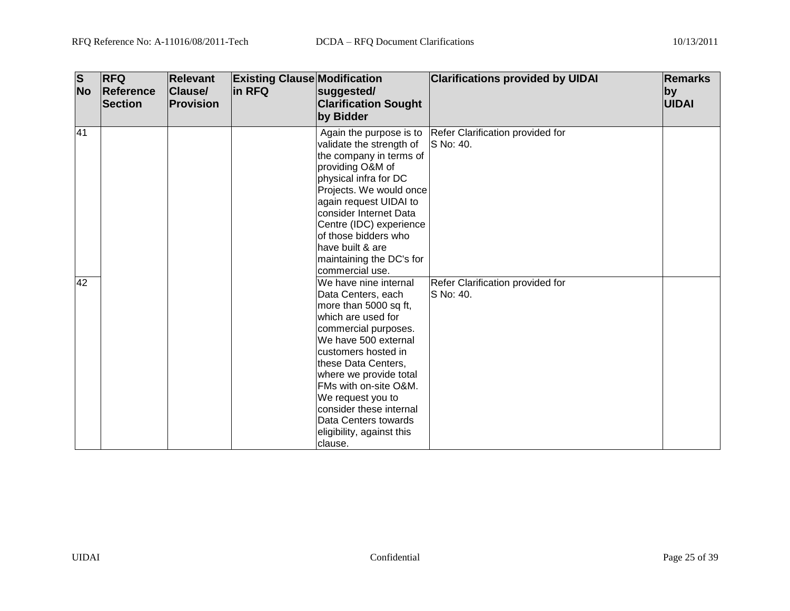| $\overline{\mathsf{s}}$<br><b>No</b> | <b>RFQ</b><br>Reference<br><b>Section</b> | <b>Relevant</b><br><b>Clause/</b><br><b>Provision</b> | <b>Existing Clause Modification</b><br>in RFQ | suggested/<br><b>Clarification Sought</b><br>by Bidder                                                                                                                                                                                                                                                                                                      | <b>Clarifications provided by UIDAI</b>                                | Remarks<br><b>by</b><br><b>UIDAI</b> |
|--------------------------------------|-------------------------------------------|-------------------------------------------------------|-----------------------------------------------|-------------------------------------------------------------------------------------------------------------------------------------------------------------------------------------------------------------------------------------------------------------------------------------------------------------------------------------------------------------|------------------------------------------------------------------------|--------------------------------------|
| 41                                   |                                           |                                                       |                                               | validate the strength of<br>the company in terms of<br>providing O&M of<br>physical infra for DC<br>Projects. We would once<br>again request UIDAI to<br>consider Internet Data<br>Centre (IDC) experience<br>of those bidders who<br>have built & are<br>maintaining the DC's for<br>commercial use.                                                       | Again the purpose is to  Refer Clarification provided for<br>S No: 40. |                                      |
| 42                                   |                                           |                                                       |                                               | We have nine internal<br>Data Centers, each<br>more than 5000 sq ft,<br>which are used for<br>commercial purposes.<br>We have 500 external<br>customers hosted in<br>these Data Centers,<br>where we provide total<br>FMs with on-site O&M.<br>We request you to<br>consider these internal<br>Data Centers towards<br>eligibility, against this<br>clause. | Refer Clarification provided for<br>S No: 40.                          |                                      |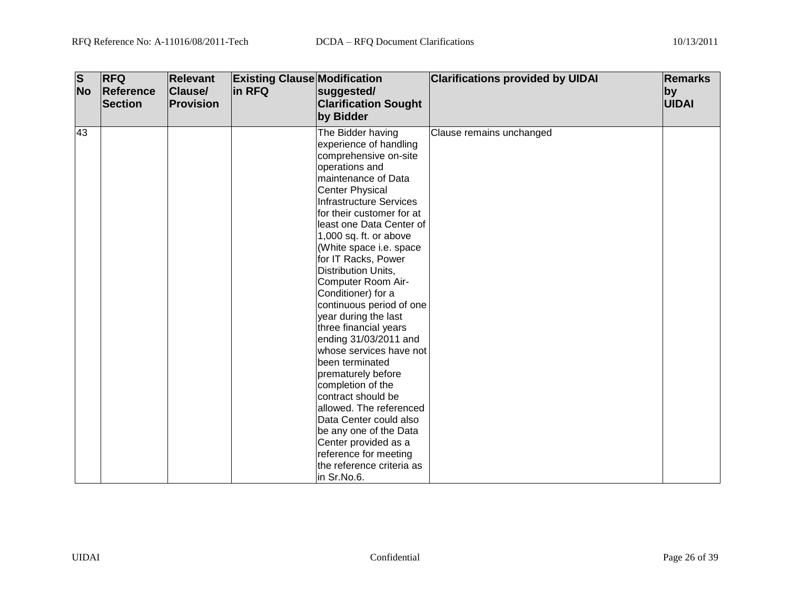| $\overline{\mathsf{s}}$<br><b>No</b> | <b>RFQ</b><br>Reference<br><b>Section</b> | <b>Relevant</b><br><b>Clause/</b><br>Provision | <b>Existing Clause Modification</b><br>in RFQ | suggested/<br><b>Clarification Sought</b>                                                                                                                                                                                                                                                                                                                                                                                                                                                                                                                                                                                                                                                                                                                                          | <b>Clarifications provided by UIDAI</b> | <b>Remarks</b><br>by<br>UIDAI |
|--------------------------------------|-------------------------------------------|------------------------------------------------|-----------------------------------------------|------------------------------------------------------------------------------------------------------------------------------------------------------------------------------------------------------------------------------------------------------------------------------------------------------------------------------------------------------------------------------------------------------------------------------------------------------------------------------------------------------------------------------------------------------------------------------------------------------------------------------------------------------------------------------------------------------------------------------------------------------------------------------------|-----------------------------------------|-------------------------------|
|                                      |                                           |                                                |                                               | by Bidder                                                                                                                                                                                                                                                                                                                                                                                                                                                                                                                                                                                                                                                                                                                                                                          |                                         |                               |
| 43                                   |                                           |                                                |                                               | The Bidder having<br>experience of handling<br>comprehensive on-site<br>operations and<br>maintenance of Data<br><b>Center Physical</b><br><b>Infrastructure Services</b><br>for their customer for at<br>least one Data Center of<br>1,000 sq. ft. or above<br>(White space i.e. space<br>for IT Racks, Power<br>Distribution Units,<br>Computer Room Air-<br>Conditioner) for a<br>continuous period of one<br>year during the last<br>three financial years<br>ending 31/03/2011 and<br>whose services have not<br>been terminated<br>prematurely before<br>completion of the<br>contract should be<br>allowed. The referenced<br>Data Center could also<br>be any one of the Data<br>Center provided as a<br>reference for meeting<br>the reference criteria as<br>in Sr.No.6. | Clause remains unchanged                |                               |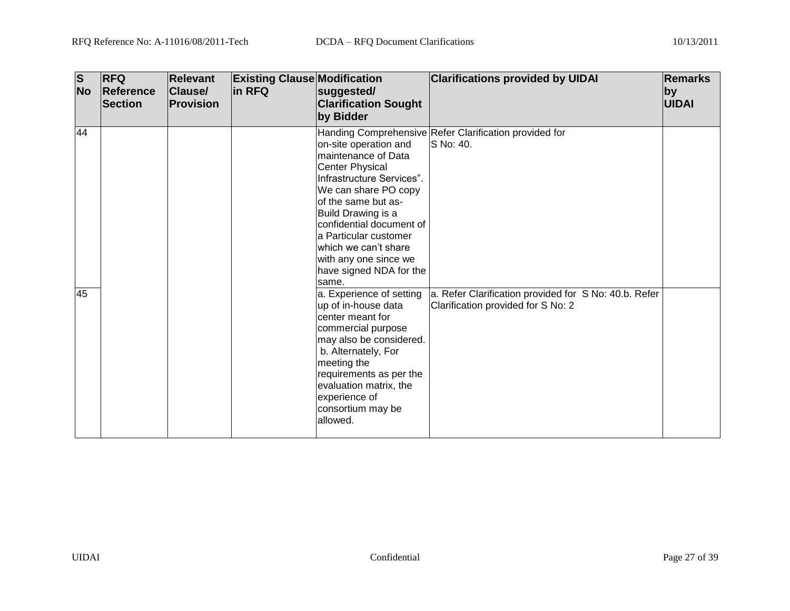| $\overline{\mathbf{s}}$<br><b>No</b> | <b>RFQ</b><br>Reference<br><b>Section</b> | <b>Relevant</b><br><b>Clause/</b><br>Provision | <b>Existing Clause Modification</b><br>in RFQ | suggested/<br><b>Clarification Sought</b><br>by Bidder                                                                                                                                                                                                                                                       | <b>Clarifications provided by UIDAI</b>                                                     | <b>Remarks</b><br>by<br>UIDAI |
|--------------------------------------|-------------------------------------------|------------------------------------------------|-----------------------------------------------|--------------------------------------------------------------------------------------------------------------------------------------------------------------------------------------------------------------------------------------------------------------------------------------------------------------|---------------------------------------------------------------------------------------------|-------------------------------|
| 44                                   |                                           |                                                |                                               | on-site operation and<br>maintenance of Data<br>Center Physical<br>Infrastructure Services".<br>We can share PO copy<br>of the same but as-<br>Build Drawing is a<br>confidential document of<br>a Particular customer<br>lwhich we can't share<br>with any one since we<br>have signed NDA for the<br>same. | Handing Comprehensive Refer Clarification provided for<br>S No: 40.                         |                               |
| 45                                   |                                           |                                                |                                               | a. Experience of setting<br>up of in-house data<br>center meant for<br>commercial purpose<br>may also be considered.<br>b. Alternately, For<br>meeting the<br>requirements as per the<br>evaluation matrix, the<br>experience of<br>consortium may be<br>allowed.                                            | a. Refer Clarification provided for S No: 40.b. Refer<br>Clarification provided for S No: 2 |                               |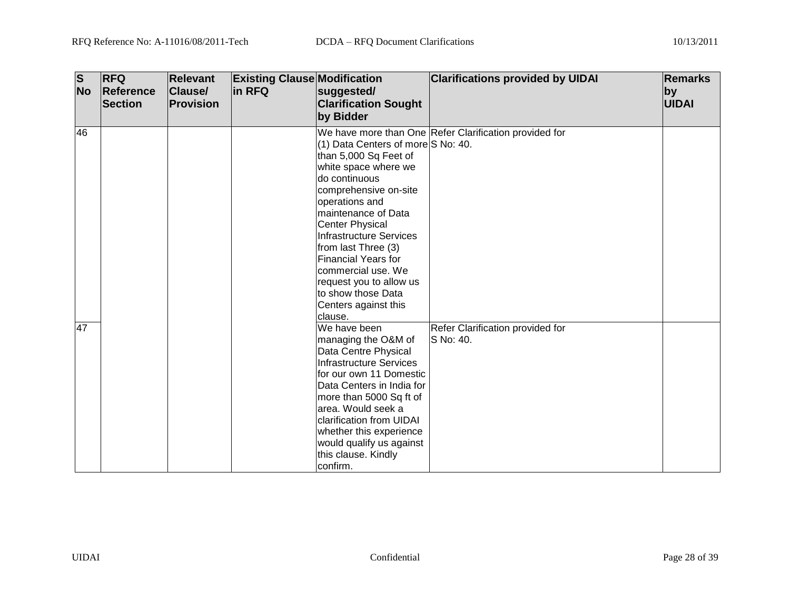| $\overline{\mathbf{s}}$<br><b>No</b> | <b>RFQ</b><br>Reference<br><b>Section</b> | <b>Relevant</b><br><b>Clause/</b><br><b>Provision</b> | <b>Existing Clause Modification</b><br>in RFQ | suggested/<br><b>Clarification Sought</b><br>by Bidder                                                                                                                                                                                                                                                                                                                                            | <b>Clarifications provided by UIDAI</b>                | <b>Remarks</b><br>by<br><b>UIDAI</b> |
|--------------------------------------|-------------------------------------------|-------------------------------------------------------|-----------------------------------------------|---------------------------------------------------------------------------------------------------------------------------------------------------------------------------------------------------------------------------------------------------------------------------------------------------------------------------------------------------------------------------------------------------|--------------------------------------------------------|--------------------------------------|
| 46                                   |                                           |                                                       |                                               | (1) Data Centers of more S No: 40.<br>than 5,000 Sq Feet of<br>white space where we<br>do continuous<br>comprehensive on-site<br>operations and<br>maintenance of Data<br><b>Center Physical</b><br><b>Infrastructure Services</b><br>from last Three (3)<br><b>Financial Years for</b><br>commercial use. We<br>request you to allow us<br>to show those Data<br>Centers against this<br>clause. | We have more than One Refer Clarification provided for |                                      |
| 47                                   |                                           |                                                       |                                               | We have been<br>managing the O&M of<br>Data Centre Physical<br><b>Infrastructure Services</b><br>for our own 11 Domestic<br>Data Centers in India for<br>more than 5000 Sq ft of<br>area. Would seek a<br>clarification from UIDAI<br>whether this experience<br>would qualify us against<br>this clause. Kindly<br>confirm.                                                                      | Refer Clarification provided for<br>S No: 40.          |                                      |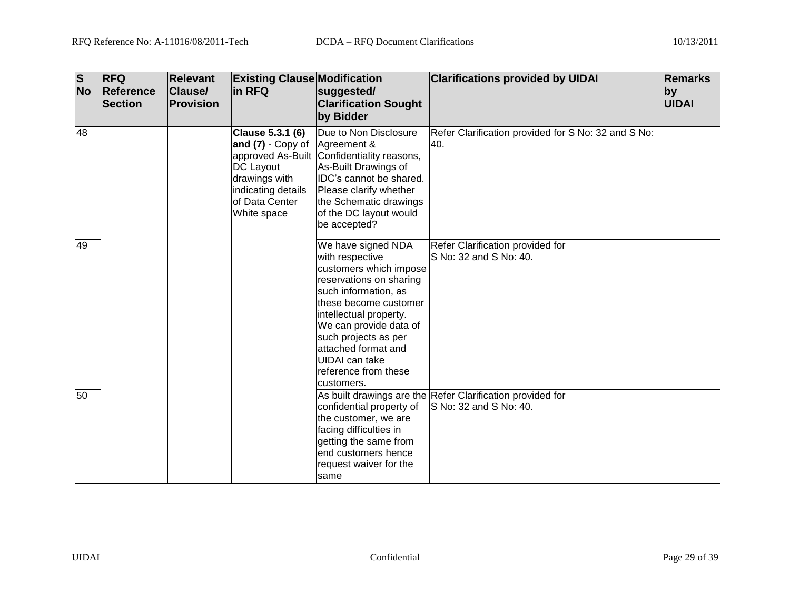| $\overline{\mathbf{s}}$<br><b>No</b> | <b>RFQ</b><br><b>Reference</b><br>Section | <b>Relevant</b><br>Clause/<br><b>Provision</b> | <b>Existing Clause Modification</b><br>in RFQ                                                                                 | suggested/<br><b>Clarification Sought</b><br>by Bidder                                                                                                                                                                                                                                                 | <b>Clarifications provided by UIDAI</b>                                              | <b>Remarks</b><br>by<br><b>UIDAI</b> |
|--------------------------------------|-------------------------------------------|------------------------------------------------|-------------------------------------------------------------------------------------------------------------------------------|--------------------------------------------------------------------------------------------------------------------------------------------------------------------------------------------------------------------------------------------------------------------------------------------------------|--------------------------------------------------------------------------------------|--------------------------------------|
| 48                                   |                                           |                                                | Clause 5.3.1 (6)<br>and $(7)$ - Copy of<br>DC Layout<br>drawings with<br>indicating details<br>lof Data Center<br>White space | Due to Non Disclosure<br>Agreement &<br>approved As-Built Confidentiality reasons,<br>As-Built Drawings of<br>IDC's cannot be shared.<br>Please clarify whether<br>the Schematic drawings<br>of the DC layout would<br>be accepted?                                                                    | Refer Clarification provided for S No: 32 and S No:<br>40.                           |                                      |
| 49                                   |                                           |                                                |                                                                                                                               | We have signed NDA<br>with respective<br>customers which impose<br>reservations on sharing<br>such information, as<br>these become customer<br>intellectual property.<br>We can provide data of<br>such projects as per<br>attached format and<br>UIDAI can take<br>reference from these<br>customers. | Refer Clarification provided for<br>S No: 32 and S No: 40.                           |                                      |
| 50                                   |                                           |                                                |                                                                                                                               | confidential property of<br>the customer, we are<br>facing difficulties in<br>getting the same from<br>end customers hence<br>request waiver for the<br>same                                                                                                                                           | As built drawings are the Refer Clarification provided for<br>S No: 32 and S No: 40. |                                      |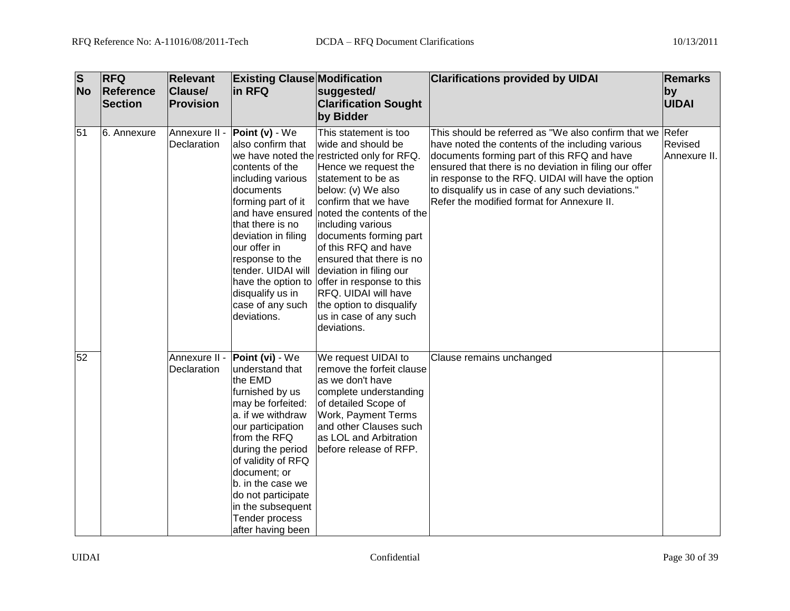| $\overline{\mathsf{s}}$<br><b>No</b> | <b>RFQ</b><br>Reference<br><b>Section</b> | <b>Relevant</b><br>Clause/<br>Provision | <b>Existing Clause Modification</b><br>in RFQ                                                                                                                                                                                                                                                                     | suggested/<br><b>Clarification Sought</b><br>by Bidder                                                                                                                                                                                                                                                                                                                                                                                                                                                                | <b>Clarifications provided by UIDAI</b>                                                                                                                                                                                                                                                                                                                                         | <b>Remarks</b><br> by<br><b>UIDAI</b> |
|--------------------------------------|-------------------------------------------|-----------------------------------------|-------------------------------------------------------------------------------------------------------------------------------------------------------------------------------------------------------------------------------------------------------------------------------------------------------------------|-----------------------------------------------------------------------------------------------------------------------------------------------------------------------------------------------------------------------------------------------------------------------------------------------------------------------------------------------------------------------------------------------------------------------------------------------------------------------------------------------------------------------|---------------------------------------------------------------------------------------------------------------------------------------------------------------------------------------------------------------------------------------------------------------------------------------------------------------------------------------------------------------------------------|---------------------------------------|
| 51                                   | 6. Annexure                               | Annexure II -<br>Declaration            | Point (v) - We<br>also confirm that<br>contents of the<br>including various<br>documents<br>forming part of it<br>that there is no<br>deviation in filing<br>our offer in<br>response to the<br>tender. UIDAI will<br>disqualify us in<br>case of any such<br>deviations.                                         | This statement is too<br>wide and should be<br>we have noted the restricted only for RFQ.<br>Hence we request the<br>statement to be as<br>below: (v) We also<br>confirm that we have<br>and have ensured noted the contents of the<br>including various<br>documents forming part<br>of this RFQ and have<br>ensured that there is no<br>deviation in filing our<br>have the option to offer in response to this<br><b>RFQ. UIDAI will have</b><br>the option to disqualify<br>us in case of any such<br>deviations. | This should be referred as "We also confirm that we Refer<br>have noted the contents of the including various<br>documents forming part of this RFQ and have<br>ensured that there is no deviation in filing our offer<br>in response to the RFQ. UIDAI will have the option<br>to disqualify us in case of any such deviations."<br>Refer the modified format for Annexure II. | Revised<br>Annexure II.               |
| 52                                   |                                           | Annexure II -<br>Declaration            | Point (vi) - We<br>understand that<br>the EMD<br>furnished by us<br>may be forfeited:<br>a. if we withdraw<br>our participation<br>from the RFQ<br>during the period<br>of validity of RFQ<br>document; or<br>b. in the case we<br>do not participate<br>in the subsequent<br>Tender process<br>after having been | We request UIDAI to<br>remove the forfeit clause<br>as we don't have<br>complete understanding<br>of detailed Scope of<br><b>Work, Payment Terms</b><br>and other Clauses such<br>as LOL and Arbitration<br>before release of RFP.                                                                                                                                                                                                                                                                                    | Clause remains unchanged                                                                                                                                                                                                                                                                                                                                                        |                                       |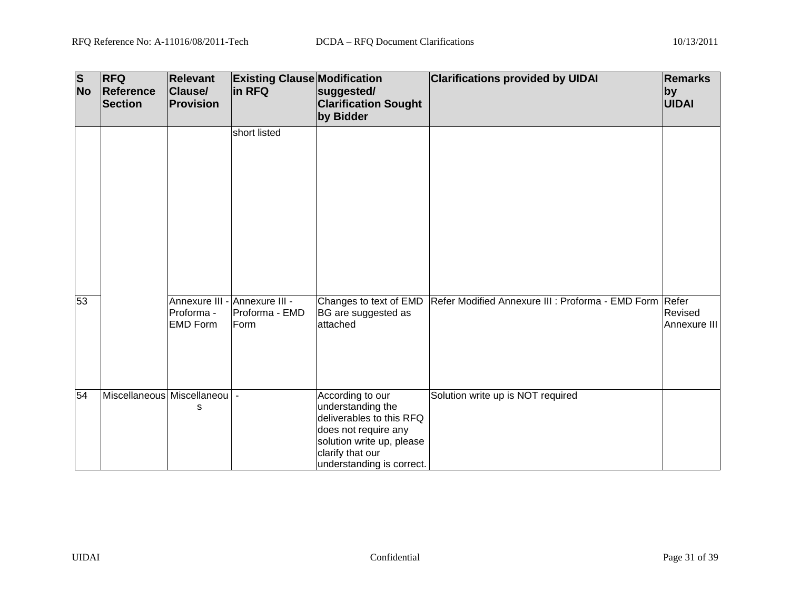| $\overline{\mathbf{s}}$<br><b>No</b> | <b>RFQ</b><br>Reference<br><b>Section</b> | <b>Relevant</b><br>Clause/<br>Provision                        | <b>Existing Clause Modification</b><br>in RFQ | suggested/<br><b>Clarification Sought</b><br>by Bidder                                                                                                                  | <b>Clarifications provided by UIDAI</b>                 | Remarks<br>$ $ by<br><b>UIDAI</b> |
|--------------------------------------|-------------------------------------------|----------------------------------------------------------------|-----------------------------------------------|-------------------------------------------------------------------------------------------------------------------------------------------------------------------------|---------------------------------------------------------|-----------------------------------|
|                                      |                                           |                                                                | short listed                                  |                                                                                                                                                                         |                                                         |                                   |
| 53                                   |                                           | Annexure III - Annexure III -<br>Proforma -<br><b>EMD Form</b> | Proforma - EMD<br>Form                        | Changes to text of EMD<br>BG are suggested as<br>attached                                                                                                               | Refer Modified Annexure III : Proforma - EMD Form Refer | Revised<br>Annexure III           |
| 54                                   | Miscellaneous Miscellaneou                | s                                                              |                                               | According to our<br>understanding the<br>deliverables to this RFQ<br>does not require any<br>solution write up, please<br>clarify that our<br>understanding is correct. | Solution write up is NOT required                       |                                   |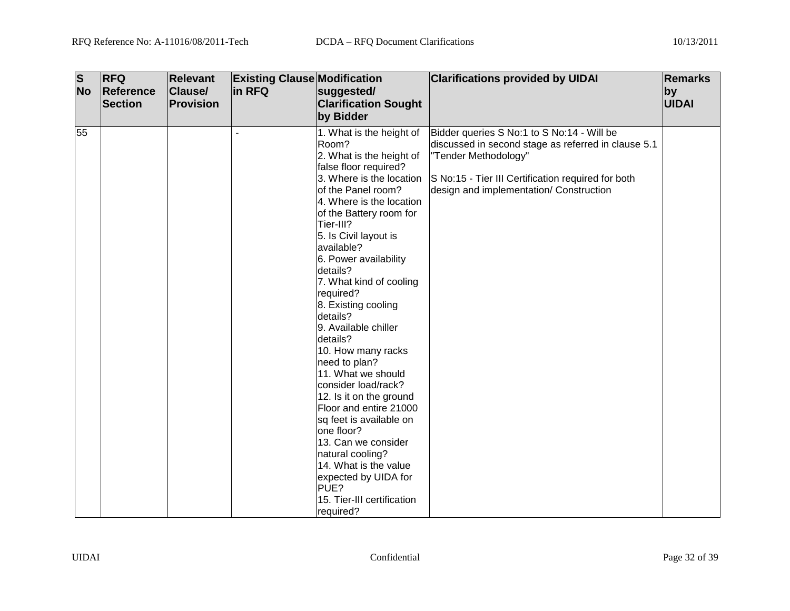| <b>RFQ</b><br>Reference | <b>Relevant</b><br><b>Clause/</b> | in RFQ    |                                                                                                                                                                                                                                                                                                                                                                                                                                                                                                                                                                                                                                                                                                                             |                                                                                                                        | <b>Remarks</b><br>by                                                                                                                        |
|-------------------------|-----------------------------------|-----------|-----------------------------------------------------------------------------------------------------------------------------------------------------------------------------------------------------------------------------------------------------------------------------------------------------------------------------------------------------------------------------------------------------------------------------------------------------------------------------------------------------------------------------------------------------------------------------------------------------------------------------------------------------------------------------------------------------------------------------|------------------------------------------------------------------------------------------------------------------------|---------------------------------------------------------------------------------------------------------------------------------------------|
|                         |                                   |           | by Bidder                                                                                                                                                                                                                                                                                                                                                                                                                                                                                                                                                                                                                                                                                                                   |                                                                                                                        | UIDAI                                                                                                                                       |
|                         |                                   |           | 1. What is the height of<br>Room?<br>2. What is the height of<br>false floor required?<br>3. Where is the location<br>of the Panel room?<br>4. Where is the location<br>of the Battery room for<br>Tier-III?<br>5. Is Civil layout is<br>available?<br>6. Power availability<br>details?<br>7. What kind of cooling<br>required?<br>8. Existing cooling<br>details?<br>9. Available chiller<br>details?<br>10. How many racks<br>need to plan?<br>11. What we should<br>consider load/rack?<br>12. Is it on the ground<br>Floor and entire 21000<br>sq feet is available on<br>one floor?<br>13. Can we consider<br>natural cooling?<br>14. What is the value<br>expected by UIDA for<br>PUE?<br>15. Tier-III certification | discussed in second stage as referred in clause 5.1<br>"Tender Methodology"<br>design and implementation/ Construction |                                                                                                                                             |
|                         | <b>No</b><br><b>Section</b><br>55 | Provision |                                                                                                                                                                                                                                                                                                                                                                                                                                                                                                                                                                                                                                                                                                                             | <b>Existing Clause Modification</b><br>suggested/<br><b>Clarification Sought</b><br>required?                          | <b>Clarifications provided by UIDAI</b><br>Bidder queries S No:1 to S No:14 - Will be<br>S No:15 - Tier III Certification required for both |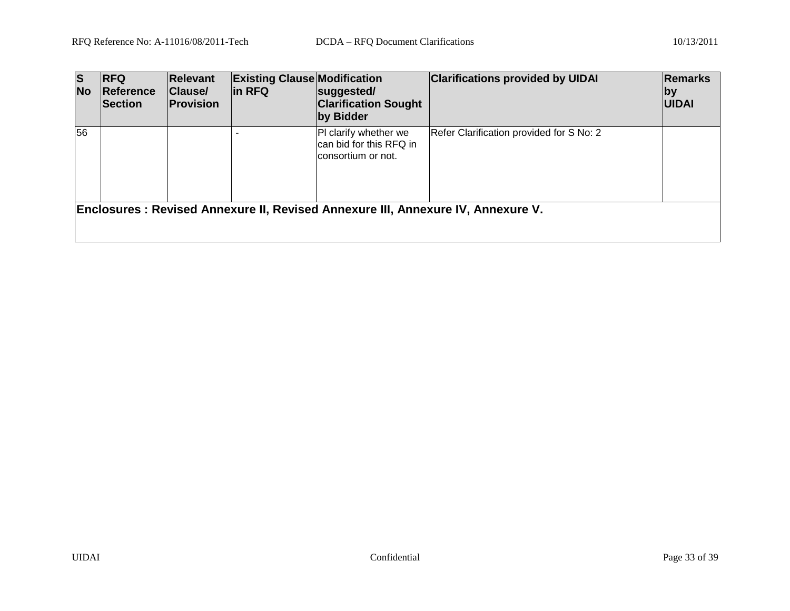| <b>S</b><br><b>No</b> | <b>IRFQ</b><br><b>Reference</b><br><b>Section</b> | <b>Relevant</b><br><b>Clause/</b><br>Provision | <b>Existing Clause Modification</b><br>in RFQ | suggested/<br><b>Clarification Sought</b><br>by Bidder                 | <b>Clarifications provided by UIDAI</b>                                                | <b>Remarks</b><br> by <br><b>UIDAI</b> |
|-----------------------|---------------------------------------------------|------------------------------------------------|-----------------------------------------------|------------------------------------------------------------------------|----------------------------------------------------------------------------------------|----------------------------------------|
| 56                    |                                                   |                                                |                                               | PI clarify whether we<br>can bid for this RFQ in<br>consortium or not. | Refer Clarification provided for S No: 2                                               |                                        |
|                       |                                                   |                                                |                                               |                                                                        | <b>Enclosures: Revised Annexure II, Revised Annexure III, Annexure IV, Annexure V.</b> |                                        |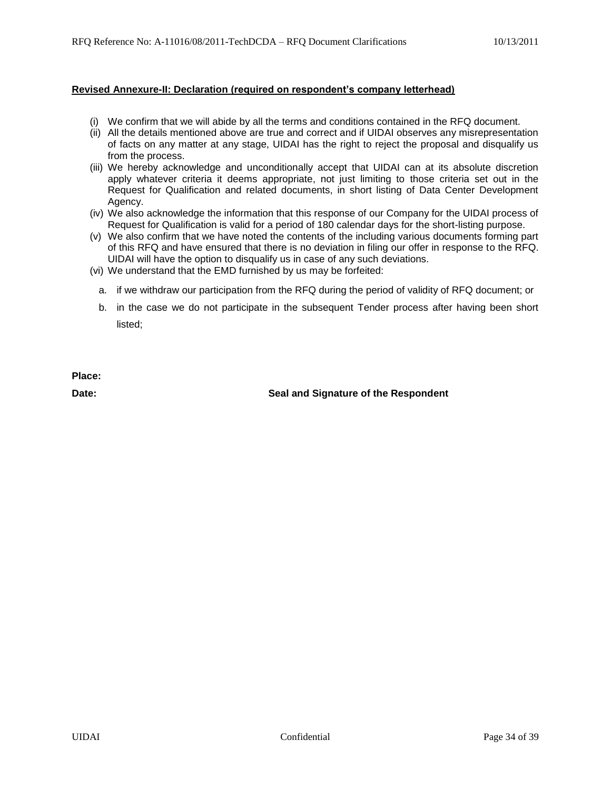#### **Revised Annexure-II: Declaration (required on respondent's company letterhead)**

- (i) We confirm that we will abide by all the terms and conditions contained in the RFQ document.
- (ii) All the details mentioned above are true and correct and if UIDAI observes any misrepresentation of facts on any matter at any stage, UIDAI has the right to reject the proposal and disqualify us from the process.
- (iii) We hereby acknowledge and unconditionally accept that UIDAI can at its absolute discretion apply whatever criteria it deems appropriate, not just limiting to those criteria set out in the Request for Qualification and related documents, in short listing of Data Center Development Agency.
- (iv) We also acknowledge the information that this response of our Company for the UIDAI process of Request for Qualification is valid for a period of 180 calendar days for the short-listing purpose.
- (v) We also confirm that we have noted the contents of the including various documents forming part of this RFQ and have ensured that there is no deviation in filing our offer in response to the RFQ. UIDAI will have the option to disqualify us in case of any such deviations.
- (vi) We understand that the EMD furnished by us may be forfeited:
	- a. if we withdraw our participation from the RFQ during the period of validity of RFQ document; or
	- b. in the case we do not participate in the subsequent Tender process after having been short listed;

**Place:**

**Date: Seal and Signature of the Respondent**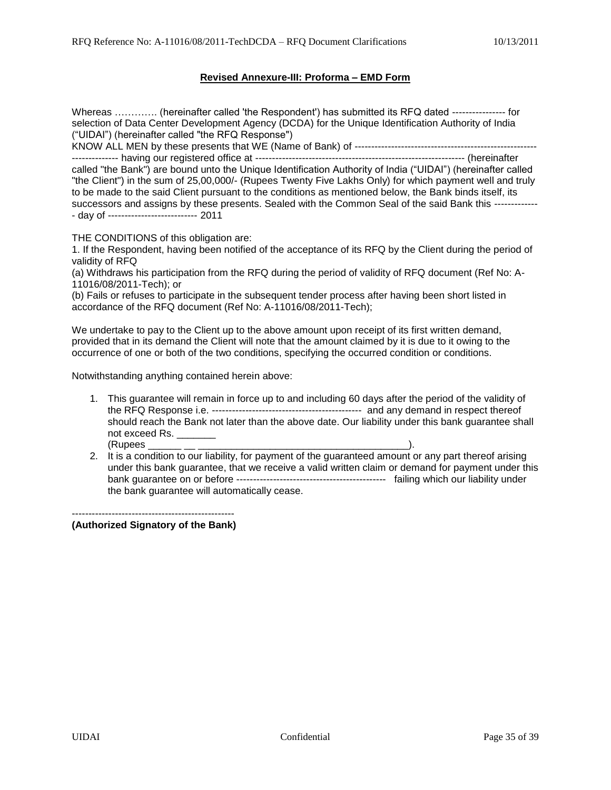#### **Revised Annexure-III: Proforma – EMD Form**

Whereas …………. (hereinafter called 'the Respondent') has submitted its RFQ dated ---------------- for selection of Data Center Development Agency (DCDA) for the Unique Identification Authority of India ("UIDAI") (hereinafter called "the RFQ Response")

KNOW ALL MEN by these presents that WE (Name of Bank) of ------------------------------------------------------- -------------- having our registered office at --------------------------------------------------------------- (hereinafter

called "the Bank") are bound unto the Unique Identification Authority of India ("UIDAI") (hereinafter called "the Client") in the sum of 25,00,000/- (Rupees Twenty Five Lakhs Only) for which payment well and truly to be made to the said Client pursuant to the conditions as mentioned below, the Bank binds itself, its successors and assigns by these presents. Sealed with the Common Seal of the said Bank this ------------- - day of --------------------------- 2011

THE CONDITIONS of this obligation are:

1. If the Respondent, having been notified of the acceptance of its RFQ by the Client during the period of validity of RFQ

(a) Withdraws his participation from the RFQ during the period of validity of RFQ document (Ref No: A-11016/08/2011-Tech); or

(b) Fails or refuses to participate in the subsequent tender process after having been short listed in accordance of the RFQ document (Ref No: A-11016/08/2011-Tech);

We undertake to pay to the Client up to the above amount upon receipt of its first written demand, provided that in its demand the Client will note that the amount claimed by it is due to it owing to the occurrence of one or both of the two conditions, specifying the occurred condition or conditions.

Notwithstanding anything contained herein above:

- 1. This guarantee will remain in force up to and including 60 days after the period of the validity of the RFQ Response i.e. --------------------------------------------- and any demand in respect thereof should reach the Bank not later than the above date. Our liability under this bank guarantee shall not exceed Rs. (Rupees \_\_\_\_\_\_ \_\_ \_\_\_\_\_\_\_\_\_\_\_\_\_\_\_\_\_\_\_\_\_\_\_\_\_\_\_\_\_\_\_\_\_\_\_\_\_\_).
- 2. It is a condition to our liability, for payment of the guaranteed amount or any part thereof arising under this bank guarantee, that we receive a valid written claim or demand for payment under this bank guarantee on or before --------------------------------------------- failing which our liability under the bank guarantee will automatically cease.

------------------------------------------------- **(Authorized Signatory of the Bank)**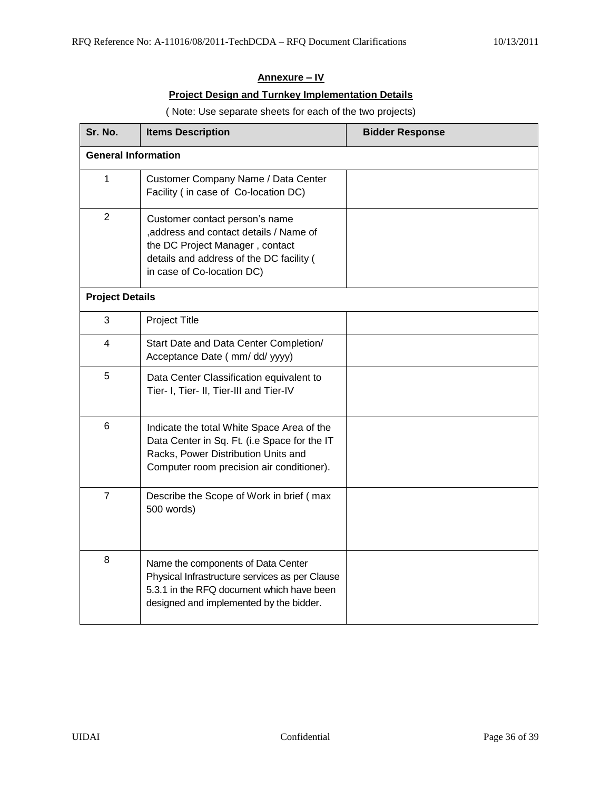# **Annexure – IV**

### **Project Design and Turnkey Implementation Details**

#### ( Note: Use separate sheets for each of the two projects)

| Sr. No.                    | <b>Items Description</b>                                                                                                                                                               | <b>Bidder Response</b> |
|----------------------------|----------------------------------------------------------------------------------------------------------------------------------------------------------------------------------------|------------------------|
| <b>General Information</b> |                                                                                                                                                                                        |                        |
| 1                          | Customer Company Name / Data Center<br>Facility (in case of Co-location DC)                                                                                                            |                        |
| $\mathbf{2}$               | Customer contact person's name<br>, address and contact details / Name of<br>the DC Project Manager, contact<br>details and address of the DC facility (<br>in case of Co-location DC) |                        |
| <b>Project Details</b>     |                                                                                                                                                                                        |                        |
| 3                          | Project Title                                                                                                                                                                          |                        |
| 4                          | Start Date and Data Center Completion/<br>Acceptance Date ( mm/ dd/ yyyy)                                                                                                              |                        |
| 5                          | Data Center Classification equivalent to<br>Tier- I, Tier- II, Tier-III and Tier-IV                                                                                                    |                        |
| 6                          | Indicate the total White Space Area of the<br>Data Center in Sq. Ft. (i.e Space for the IT<br>Racks, Power Distribution Units and<br>Computer room precision air conditioner).         |                        |
| $\overline{7}$             | Describe the Scope of Work in brief (max<br>500 words)                                                                                                                                 |                        |
| 8                          | Name the components of Data Center<br>Physical Infrastructure services as per Clause<br>5.3.1 in the RFQ document which have been<br>designed and implemented by the bidder.           |                        |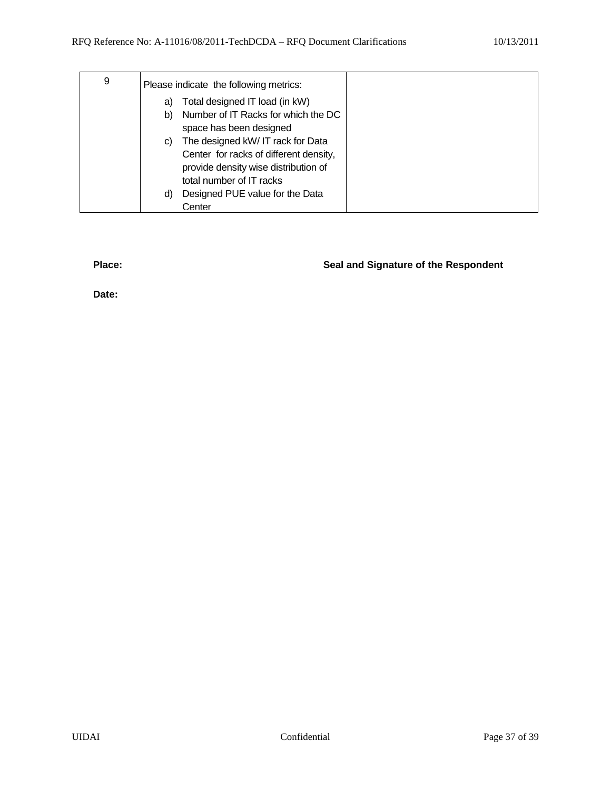| 9 | Please indicate the following metrics:    |
|---|-------------------------------------------|
|   | Total designed IT load (in kW)<br>a)      |
|   | Number of IT Racks for which the DC<br>b) |
|   | space has been designed                   |
|   | The designed kW/IT rack for Data<br>C)    |
|   | Center for racks of different density,    |
|   | provide density wise distribution of      |
|   | total number of IT racks                  |
|   | Designed PUE value for the Data<br>d)     |
|   | Center                                    |

# f) **Place: Seal and Signature of the Respondent**

**Date:**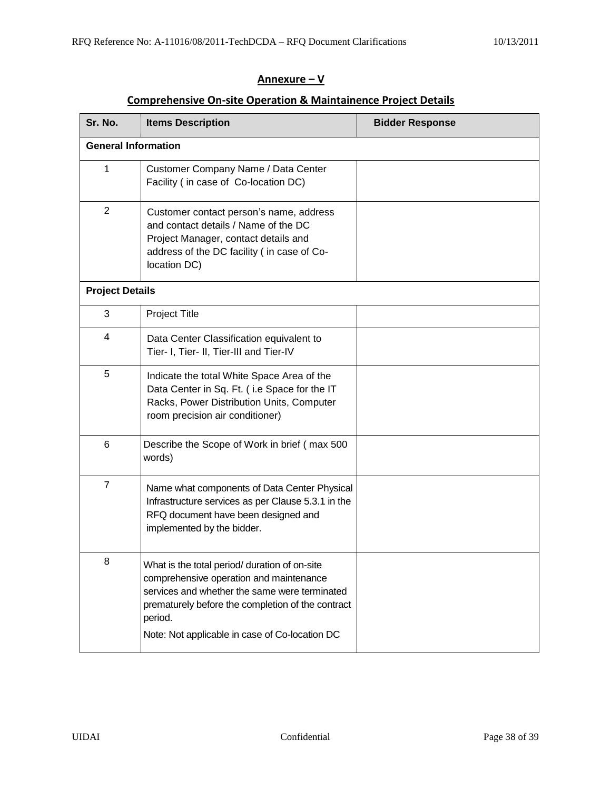# **Annexure – V**

# **Comprehensive On-site Operation & Maintainence Project Details**

| Sr. No.                    | <b>Items Description</b>                                                                                                                                                                                                                                    | <b>Bidder Response</b> |
|----------------------------|-------------------------------------------------------------------------------------------------------------------------------------------------------------------------------------------------------------------------------------------------------------|------------------------|
| <b>General Information</b> |                                                                                                                                                                                                                                                             |                        |
| 1                          | Customer Company Name / Data Center<br>Facility ( in case of Co-location DC)                                                                                                                                                                                |                        |
| $\overline{2}$             | Customer contact person's name, address<br>and contact details / Name of the DC<br>Project Manager, contact details and<br>address of the DC facility (in case of Co-<br>location DC)                                                                       |                        |
| <b>Project Details</b>     |                                                                                                                                                                                                                                                             |                        |
| 3                          | Project Title                                                                                                                                                                                                                                               |                        |
| 4                          | Data Center Classification equivalent to<br>Tier- I, Tier- II, Tier-III and Tier-IV                                                                                                                                                                         |                        |
| 5                          | Indicate the total White Space Area of the<br>Data Center in Sq. Ft. (i.e Space for the IT<br>Racks, Power Distribution Units, Computer<br>room precision air conditioner)                                                                                  |                        |
| 6                          | Describe the Scope of Work in brief (max 500<br>words)                                                                                                                                                                                                      |                        |
| $\overline{7}$             | Name what components of Data Center Physical<br>Infrastructure services as per Clause 5.3.1 in the<br>RFQ document have been designed and<br>implemented by the bidder.                                                                                     |                        |
| 8                          | What is the total period/ duration of on-site<br>comprehensive operation and maintenance<br>services and whether the same were terminated<br>prematurely before the completion of the contract<br>period.<br>Note: Not applicable in case of Co-location DC |                        |